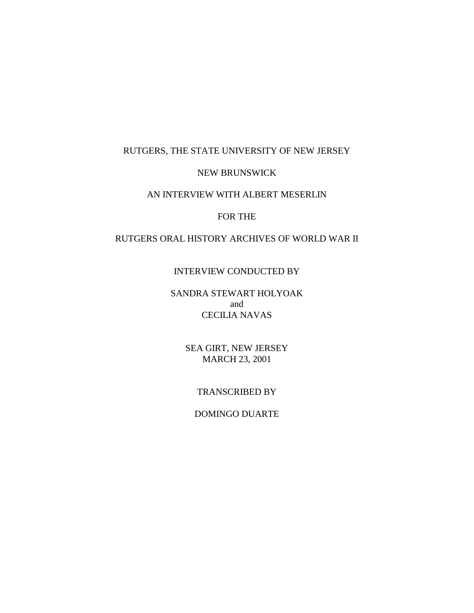## RUTGERS, THE STATE UNIVERSITY OF NEW JERSEY

### NEW BRUNSWICK

### AN INTERVIEW WITH ALBERT MESERLIN

### FOR THE

### RUTGERS ORAL HISTORY ARCHIVES OF WORLD WAR II

#### INTERVIEW CONDUCTED BY

SANDRA STEWART HOLYOAK and CECILIA NAVAS

> SEA GIRT, NEW JERSEY MARCH 23, 2001

### TRANSCRIBED BY

### DOMINGO DUARTE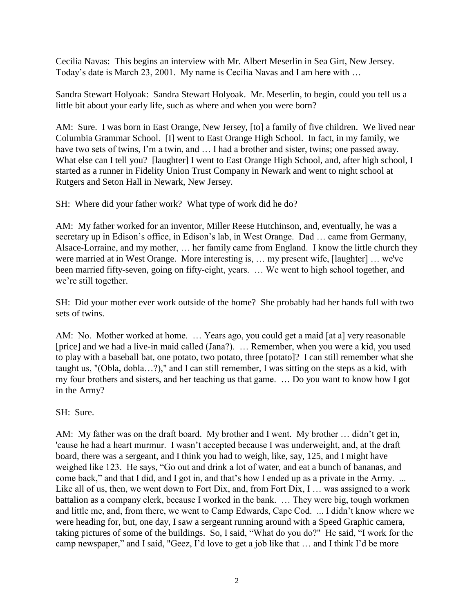Cecilia Navas: This begins an interview with Mr. Albert Meserlin in Sea Girt, New Jersey. Today"s date is March 23, 2001. My name is Cecilia Navas and I am here with …

Sandra Stewart Holyoak: Sandra Stewart Holyoak. Mr. Meserlin, to begin, could you tell us a little bit about your early life, such as where and when you were born?

AM: Sure. I was born in East Orange, New Jersey, [to] a family of five children. We lived near Columbia Grammar School. [I] went to East Orange High School. In fact, in my family, we have two sets of twins, I'm a twin, and ... I had a brother and sister, twins; one passed away. What else can I tell you? [laughter] I went to East Orange High School, and, after high school, I started as a runner in Fidelity Union Trust Company in Newark and went to night school at Rutgers and Seton Hall in Newark, New Jersey.

SH: Where did your father work? What type of work did he do?

AM: My father worked for an inventor, Miller Reese Hutchinson, and, eventually, he was a secretary up in Edison's office, in Edison's lab, in West Orange. Dad ... came from Germany, Alsace-Lorraine, and my mother, … her family came from England. I know the little church they were married at in West Orange. More interesting is, … my present wife, [laughter] … we've been married fifty-seven, going on fifty-eight, years. … We went to high school together, and we're still together.

SH: Did your mother ever work outside of the home? She probably had her hands full with two sets of twins.

AM: No. Mother worked at home. … Years ago, you could get a maid [at a] very reasonable [price] and we had a live-in maid called (Jana?). … Remember, when you were a kid, you used to play with a baseball bat, one potato, two potato, three [potato]? I can still remember what she taught us, "(Obla, dobla…?)," and I can still remember, I was sitting on the steps as a kid, with my four brothers and sisters, and her teaching us that game. … Do you want to know how I got in the Army?

SH: Sure.

AM: My father was on the draft board. My brother and I went. My brother ... didn't get in, 'cause he had a heart murmur. I wasn't accepted because I was underweight, and, at the draft board, there was a sergeant, and I think you had to weigh, like, say, 125, and I might have weighed like 123. He says, "Go out and drink a lot of water, and eat a bunch of bananas, and come back," and that I did, and I got in, and that's how I ended up as a private in the Army. ... Like all of us, then, we went down to Fort Dix, and, from Fort Dix, I ... was assigned to a work battalion as a company clerk, because I worked in the bank. … They were big, tough workmen and little me, and, from there, we went to Camp Edwards, Cape Cod. ... I didn"t know where we were heading for, but, one day, I saw a sergeant running around with a Speed Graphic camera, taking pictures of some of the buildings. So, I said, "What do you do?" He said, "I work for the camp newspaper," and I said, "Geez, I"d love to get a job like that … and I think I"d be more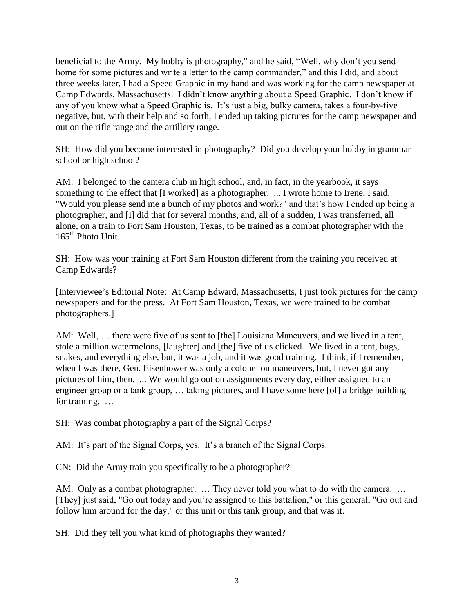beneficial to the Army. My hobby is photography," and he said, "Well, why don"t you send home for some pictures and write a letter to the camp commander," and this I did, and about three weeks later, I had a Speed Graphic in my hand and was working for the camp newspaper at Camp Edwards, Massachusetts. I didn"t know anything about a Speed Graphic. I don"t know if any of you know what a Speed Graphic is. It"s just a big, bulky camera, takes a four-by-five negative, but, with their help and so forth, I ended up taking pictures for the camp newspaper and out on the rifle range and the artillery range.

SH: How did you become interested in photography? Did you develop your hobby in grammar school or high school?

AM: I belonged to the camera club in high school, and, in fact, in the yearbook, it says something to the effect that [I worked] as a photographer. ... I wrote home to Irene, I said, "Would you please send me a bunch of my photos and work?" and that's how I ended up being a photographer, and [I] did that for several months, and, all of a sudden, I was transferred, all alone, on a train to Fort Sam Houston, Texas, to be trained as a combat photographer with the 165<sup>th</sup> Photo Unit.

SH: How was your training at Fort Sam Houston different from the training you received at Camp Edwards?

[Interviewee"s Editorial Note: At Camp Edward, Massachusetts, I just took pictures for the camp newspapers and for the press. At Fort Sam Houston, Texas, we were trained to be combat photographers.]

AM: Well, … there were five of us sent to [the] Louisiana Maneuvers, and we lived in a tent, stole a million watermelons, [laughter] and [the] five of us clicked. We lived in a tent, bugs, snakes, and everything else, but, it was a job, and it was good training. I think, if I remember, when I was there, Gen. Eisenhower was only a colonel on maneuvers, but, I never got any pictures of him, then. ... We would go out on assignments every day, either assigned to an engineer group or a tank group, … taking pictures, and I have some here [of] a bridge building for training. …

SH: Was combat photography a part of the Signal Corps?

AM: It's part of the Signal Corps, yes. It's a branch of the Signal Corps.

CN: Did the Army train you specifically to be a photographer?

AM: Only as a combat photographer. ... They never told you what to do with the camera. ... [They] just said, "Go out today and you"re assigned to this battalion," or this general, "Go out and follow him around for the day," or this unit or this tank group, and that was it.

SH: Did they tell you what kind of photographs they wanted?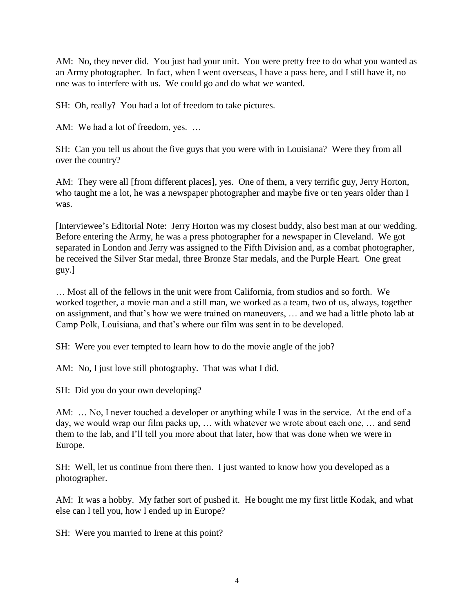AM: No, they never did. You just had your unit. You were pretty free to do what you wanted as an Army photographer. In fact, when I went overseas, I have a pass here, and I still have it, no one was to interfere with us. We could go and do what we wanted.

SH: Oh, really? You had a lot of freedom to take pictures.

AM: We had a lot of freedom, yes. ...

SH: Can you tell us about the five guys that you were with in Louisiana? Were they from all over the country?

AM: They were all [from different places], yes. One of them, a very terrific guy, Jerry Horton, who taught me a lot, he was a newspaper photographer and maybe five or ten years older than I was.

[Interviewee"s Editorial Note: Jerry Horton was my closest buddy, also best man at our wedding. Before entering the Army, he was a press photographer for a newspaper in Cleveland. We got separated in London and Jerry was assigned to the Fifth Division and, as a combat photographer, he received the Silver Star medal, three Bronze Star medals, and the Purple Heart. One great guy.]

… Most all of the fellows in the unit were from California, from studios and so forth. We worked together, a movie man and a still man, we worked as a team, two of us, always, together on assignment, and that"s how we were trained on maneuvers, … and we had a little photo lab at Camp Polk, Louisiana, and that"s where our film was sent in to be developed.

SH: Were you ever tempted to learn how to do the movie angle of the job?

AM: No, I just love still photography. That was what I did.

SH: Did you do your own developing?

AM: … No, I never touched a developer or anything while I was in the service. At the end of a day, we would wrap our film packs up, … with whatever we wrote about each one, … and send them to the lab, and I"ll tell you more about that later, how that was done when we were in Europe.

SH: Well, let us continue from there then. I just wanted to know how you developed as a photographer.

AM: It was a hobby. My father sort of pushed it. He bought me my first little Kodak, and what else can I tell you, how I ended up in Europe?

SH: Were you married to Irene at this point?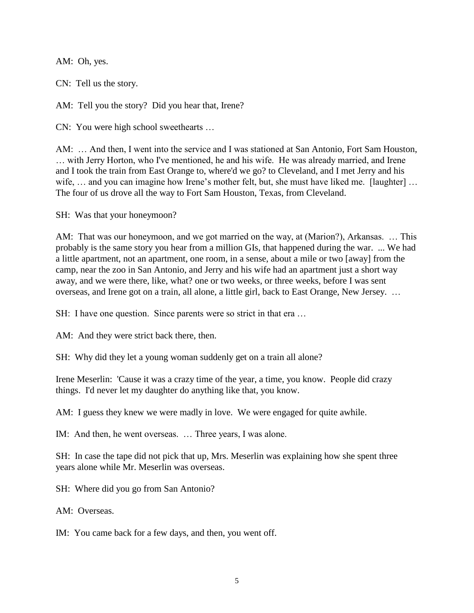AM: Oh, yes.

CN: Tell us the story.

AM: Tell you the story? Did you hear that, Irene?

CN: You were high school sweethearts …

AM: … And then, I went into the service and I was stationed at San Antonio, Fort Sam Houston, … with Jerry Horton, who I've mentioned, he and his wife. He was already married, and Irene and I took the train from East Orange to, where'd we go? to Cleveland, and I met Jerry and his wife, ... and you can imagine how Irene's mother felt, but, she must have liked me. [laughter] ... The four of us drove all the way to Fort Sam Houston, Texas, from Cleveland.

SH: Was that your honeymoon?

AM: That was our honeymoon, and we got married on the way, at (Marion?), Arkansas. … This probably is the same story you hear from a million GIs, that happened during the war. ... We had a little apartment, not an apartment, one room, in a sense, about a mile or two [away] from the camp, near the zoo in San Antonio, and Jerry and his wife had an apartment just a short way away, and we were there, like, what? one or two weeks, or three weeks, before I was sent overseas, and Irene got on a train, all alone, a little girl, back to East Orange, New Jersey. …

SH: I have one question. Since parents were so strict in that era ...

AM: And they were strict back there, then.

SH: Why did they let a young woman suddenly get on a train all alone?

Irene Meserlin: 'Cause it was a crazy time of the year, a time, you know. People did crazy things. I'd never let my daughter do anything like that, you know.

AM: I guess they knew we were madly in love. We were engaged for quite awhile.

IM: And then, he went overseas. … Three years, I was alone.

SH: In case the tape did not pick that up, Mrs. Meserlin was explaining how she spent three years alone while Mr. Meserlin was overseas.

SH: Where did you go from San Antonio?

AM: Overseas.

IM: You came back for a few days, and then, you went off.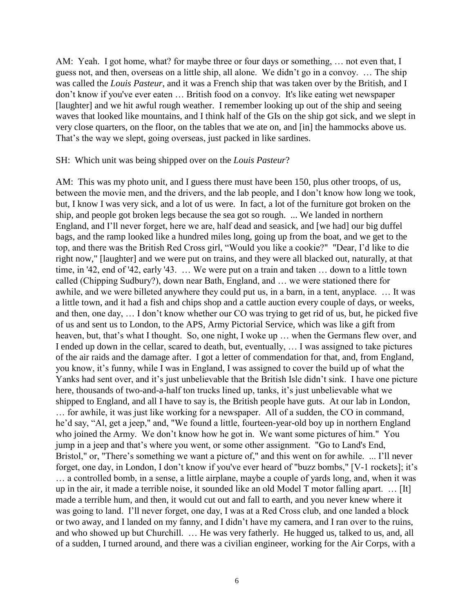AM: Yeah. I got home, what? for maybe three or four days or something, ... not even that, I guess not, and then, overseas on a little ship, all alone. We didn"t go in a convoy. … The ship was called the *Louis Pasteur*, and it was a French ship that was taken over by the British, and I don"t know if you've ever eaten … British food on a convoy. It's like eating wet newspaper [laughter] and we hit awful rough weather. I remember looking up out of the ship and seeing waves that looked like mountains, and I think half of the GIs on the ship got sick, and we slept in very close quarters, on the floor, on the tables that we ate on, and [in] the hammocks above us. That's the way we slept, going overseas, just packed in like sardines.

#### SH: Which unit was being shipped over on the *Louis Pasteur*?

AM: This was my photo unit, and I guess there must have been 150, plus other troops, of us, between the movie men, and the drivers, and the lab people, and I don"t know how long we took, but, I know I was very sick, and a lot of us were. In fact, a lot of the furniture got broken on the ship, and people got broken legs because the sea got so rough. ... We landed in northern England, and I"ll never forget, here we are, half dead and seasick, and [we had] our big duffel bags, and the ramp looked like a hundred miles long, going up from the boat, and we get to the top, and there was the British Red Cross girl, "Would you like a cookie?" "Dear, I"d like to die right now," [laughter] and we were put on trains, and they were all blacked out, naturally, at that time, in '42, end of '42, early '43. … We were put on a train and taken … down to a little town called (Chipping Sudbury?), down near Bath, England, and … we were stationed there for awhile, and we were billeted anywhere they could put us, in a barn, in a tent, anyplace. … It was a little town, and it had a fish and chips shop and a cattle auction every couple of days, or weeks, and then, one day, … I don"t know whether our CO was trying to get rid of us, but, he picked five of us and sent us to London, to the APS, Army Pictorial Service, which was like a gift from heaven, but, that's what I thought. So, one night, I woke up ... when the Germans flew over, and I ended up down in the cellar, scared to death, but, eventually, … I was assigned to take pictures of the air raids and the damage after. I got a letter of commendation for that, and, from England, you know, it"s funny, while I was in England, I was assigned to cover the build up of what the Yanks had sent over, and it's just unbelievable that the British Isle didn't sink. I have one picture here, thousands of two-and-a-half ton trucks lined up, tanks, it's just unbelievable what we shipped to England, and all I have to say is, the British people have guts. At our lab in London, … for awhile, it was just like working for a newspaper. All of a sudden, the CO in command, he'd say, "Al, get a jeep," and, "We found a little, fourteen-year-old boy up in northern England who joined the Army. We don't know how he got in. We want some pictures of him." You jump in a jeep and that's where you went, or some other assignment. "Go to Land's End, Bristol," or, "There's something we want a picture of," and this went on for awhile. ... I'll never forget, one day, in London, I don't know if you've ever heard of "buzz bombs," [V-1 rockets]; it's … a controlled bomb, in a sense, a little airplane, maybe a couple of yards long, and, when it was up in the air, it made a terrible noise, it sounded like an old Model T motor falling apart. … [It] made a terrible hum, and then, it would cut out and fall to earth, and you never knew where it was going to land. I"ll never forget, one day, I was at a Red Cross club, and one landed a block or two away, and I landed on my fanny, and I didn"t have my camera, and I ran over to the ruins, and who showed up but Churchill. … He was very fatherly. He hugged us, talked to us, and, all of a sudden, I turned around, and there was a civilian engineer, working for the Air Corps, with a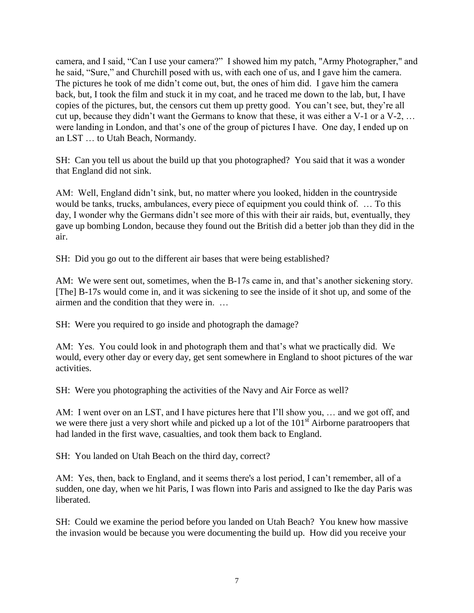camera, and I said, "Can I use your camera?" I showed him my patch, "Army Photographer," and he said, "Sure," and Churchill posed with us, with each one of us, and I gave him the camera. The pictures he took of me didn"t come out, but, the ones of him did. I gave him the camera back, but, I took the film and stuck it in my coat, and he traced me down to the lab, but, I have copies of the pictures, but, the censors cut them up pretty good. You can"t see, but, they"re all cut up, because they didn"t want the Germans to know that these, it was either a V-1 or a V-2, … were landing in London, and that's one of the group of pictures I have. One day, I ended up on an LST … to Utah Beach, Normandy.

SH: Can you tell us about the build up that you photographed? You said that it was a wonder that England did not sink.

AM: Well, England didn"t sink, but, no matter where you looked, hidden in the countryside would be tanks, trucks, ambulances, every piece of equipment you could think of. … To this day, I wonder why the Germans didn't see more of this with their air raids, but, eventually, they gave up bombing London, because they found out the British did a better job than they did in the air.

SH: Did you go out to the different air bases that were being established?

AM: We were sent out, sometimes, when the B-17s came in, and that's another sickening story. [The] B-17s would come in, and it was sickening to see the inside of it shot up, and some of the airmen and the condition that they were in. …

SH: Were you required to go inside and photograph the damage?

AM: Yes. You could look in and photograph them and that's what we practically did. We would, every other day or every day, get sent somewhere in England to shoot pictures of the war activities.

SH: Were you photographing the activities of the Navy and Air Force as well?

AM: I went over on an LST, and I have pictures here that I'll show you, ... and we got off, and we were there just a very short while and picked up a lot of the 101<sup>st</sup> Airborne paratroopers that had landed in the first wave, casualties, and took them back to England.

SH: You landed on Utah Beach on the third day, correct?

AM: Yes, then, back to England, and it seems there's a lost period, I can't remember, all of a sudden, one day, when we hit Paris, I was flown into Paris and assigned to Ike the day Paris was liberated.

SH: Could we examine the period before you landed on Utah Beach? You knew how massive the invasion would be because you were documenting the build up. How did you receive your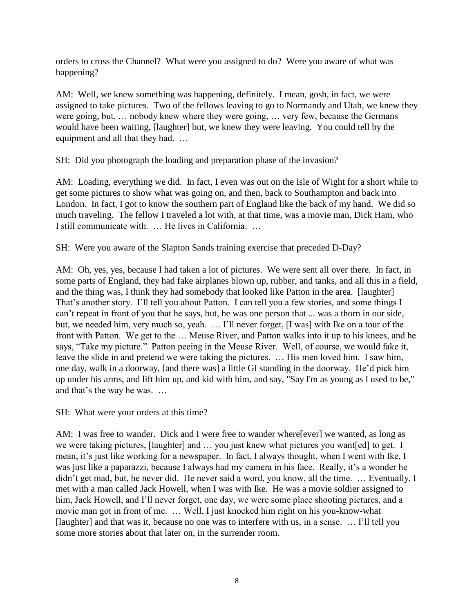orders to cross the Channel? What were you assigned to do? Were you aware of what was happening?

AM: Well, we knew something was happening, definitely. I mean, gosh, in fact, we were assigned to take pictures. Two of the fellows leaving to go to Normandy and Utah, we knew they were going, but, … nobody knew where they were going, … very few, because the Germans would have been waiting, [laughter] but, we knew they were leaving. You could tell by the equipment and all that they had. …

SH: Did you photograph the loading and preparation phase of the invasion?

AM: Loading, everything we did. In fact, I even was out on the Isle of Wight for a short while to get some pictures to show what was going on, and then, back to Southampton and back into London. In fact, I got to know the southern part of England like the back of my hand. We did so much traveling. The fellow I traveled a lot with, at that time, was a movie man, Dick Ham, who I still communicate with. … He lives in California. …

SH: Were you aware of the Slapton Sands training exercise that preceded D-Day?

AM: Oh, yes, yes, because I had taken a lot of pictures. We were sent all over there. In fact, in some parts of England, they had fake airplanes blown up, rubber, and tanks, and all this in a field, and the thing was, I think they had somebody that looked like Patton in the area. [laughter] That's another story. I'll tell you about Patton. I can tell you a few stories, and some things I can"t repeat in front of you that he says, but, he was one person that ... was a thorn in our side, but, we needed him, very much so, yeah. … I"ll never forget, [I was] with Ike on a tour of the front with Patton. We get to the … Meuse River, and Patton walks into it up to his knees, and he says, "Take my picture." Patton peeing in the Meuse River. Well, of course, we would fake it, leave the slide in and pretend we were taking the pictures. … His men loved him. I saw him, one day, walk in a doorway, [and there was] a little GI standing in the doorway. He"d pick him up under his arms, and lift him up, and kid with him, and say, "Say I'm as young as I used to be," and that"s the way he was. …

SH: What were your orders at this time?

AM: I was free to wander. Dick and I were free to wander where[ever] we wanted, as long as we were taking pictures, [laughter] and … you just knew what pictures you want[ed] to get. I mean, it's just like working for a newspaper. In fact, I always thought, when I went with Ike, I was just like a paparazzi, because I always had my camera in his face. Really, it's a wonder he didn"t get mad, but, he never did. He never said a word, you know, all the time. … Eventually, I met with a man called Jack Howell, when I was with Ike. He was a movie soldier assigned to him, Jack Howell, and I"ll never forget, one day, we were some place shooting pictures, and a movie man got in front of me. … Well, I just knocked him right on his you-know-what [laughter] and that was it, because no one was to interfere with us, in a sense. … I"ll tell you some more stories about that later on, in the surrender room.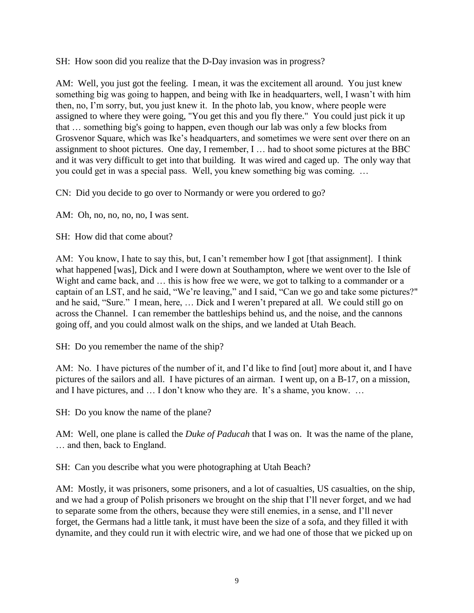SH: How soon did you realize that the D-Day invasion was in progress?

AM: Well, you just got the feeling. I mean, it was the excitement all around. You just knew something big was going to happen, and being with Ike in headquarters, well, I wasn"t with him then, no, I"m sorry, but, you just knew it. In the photo lab, you know, where people were assigned to where they were going, "You get this and you fly there." You could just pick it up that … something big's going to happen, even though our lab was only a few blocks from Grosvenor Square, which was Ike"s headquarters, and sometimes we were sent over there on an assignment to shoot pictures. One day, I remember, I … had to shoot some pictures at the BBC and it was very difficult to get into that building. It was wired and caged up. The only way that you could get in was a special pass. Well, you knew something big was coming. …

CN: Did you decide to go over to Normandy or were you ordered to go?

AM: Oh, no, no, no, no, I was sent.

SH: How did that come about?

AM: You know, I hate to say this, but, I can't remember how I got [that assignment]. I think what happened [was], Dick and I were down at Southampton, where we went over to the Isle of Wight and came back, and ... this is how free we were, we got to talking to a commander or a captain of an LST, and he said, "We"re leaving," and I said, "Can we go and take some pictures?" and he said, "Sure." I mean, here, … Dick and I weren"t prepared at all. We could still go on across the Channel. I can remember the battleships behind us, and the noise, and the cannons going off, and you could almost walk on the ships, and we landed at Utah Beach.

SH: Do you remember the name of the ship?

AM: No. I have pictures of the number of it, and I"d like to find [out] more about it, and I have pictures of the sailors and all. I have pictures of an airman. I went up, on a B-17, on a mission, and I have pictures, and ... I don't know who they are. It's a shame, you know. ...

SH: Do you know the name of the plane?

AM: Well, one plane is called the *Duke of Paducah* that I was on. It was the name of the plane, … and then, back to England.

SH: Can you describe what you were photographing at Utah Beach?

AM: Mostly, it was prisoners, some prisoners, and a lot of casualties, US casualties, on the ship, and we had a group of Polish prisoners we brought on the ship that I"ll never forget, and we had to separate some from the others, because they were still enemies, in a sense, and I"ll never forget, the Germans had a little tank, it must have been the size of a sofa, and they filled it with dynamite, and they could run it with electric wire, and we had one of those that we picked up on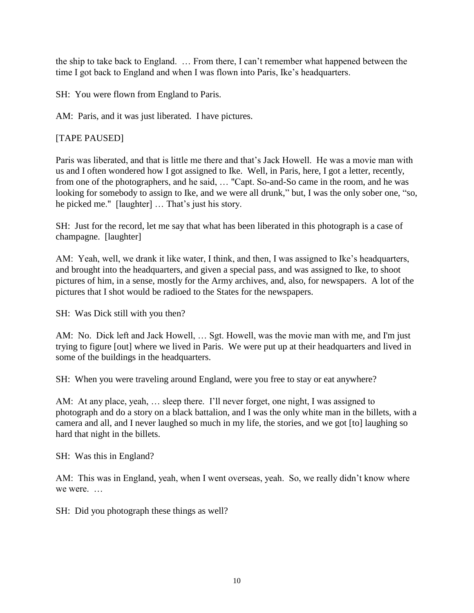the ship to take back to England. … From there, I can"t remember what happened between the time I got back to England and when I was flown into Paris, Ike"s headquarters.

SH: You were flown from England to Paris.

AM: Paris, and it was just liberated. I have pictures.

# [TAPE PAUSED]

Paris was liberated, and that is little me there and that"s Jack Howell. He was a movie man with us and I often wondered how I got assigned to Ike. Well, in Paris, here, I got a letter, recently, from one of the photographers, and he said, … "Capt. So-and-So came in the room, and he was looking for somebody to assign to Ike, and we were all drunk," but, I was the only sober one, "so, he picked me." [laughter] ... That's just his story.

SH: Just for the record, let me say that what has been liberated in this photograph is a case of champagne. [laughter]

AM: Yeah, well, we drank it like water, I think, and then, I was assigned to Ike"s headquarters, and brought into the headquarters, and given a special pass, and was assigned to Ike, to shoot pictures of him, in a sense, mostly for the Army archives, and, also, for newspapers. A lot of the pictures that I shot would be radioed to the States for the newspapers.

SH: Was Dick still with you then?

AM: No. Dick left and Jack Howell, … Sgt. Howell, was the movie man with me, and I'm just trying to figure [out] where we lived in Paris. We were put up at their headquarters and lived in some of the buildings in the headquarters.

SH: When you were traveling around England, were you free to stay or eat anywhere?

AM: At any place, yeah, … sleep there. I"ll never forget, one night, I was assigned to photograph and do a story on a black battalion, and I was the only white man in the billets, with a camera and all, and I never laughed so much in my life, the stories, and we got [to] laughing so hard that night in the billets.

SH: Was this in England?

AM: This was in England, yeah, when I went overseas, yeah. So, we really didn"t know where we were.

SH: Did you photograph these things as well?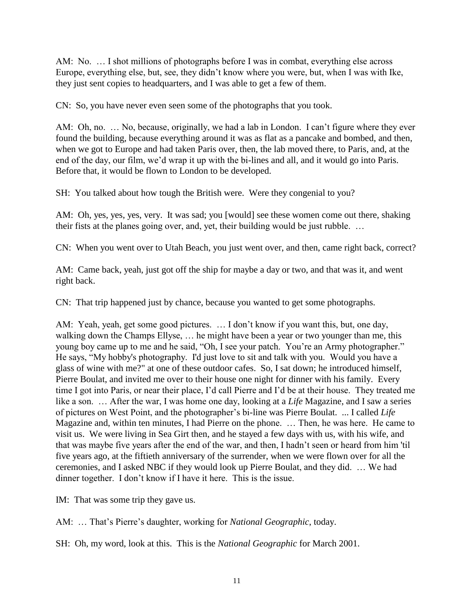AM: No. … I shot millions of photographs before I was in combat, everything else across Europe, everything else, but, see, they didn"t know where you were, but, when I was with Ike, they just sent copies to headquarters, and I was able to get a few of them.

CN: So, you have never even seen some of the photographs that you took.

AM: Oh, no. ... No, because, originally, we had a lab in London. I can't figure where they ever found the building, because everything around it was as flat as a pancake and bombed, and then, when we got to Europe and had taken Paris over, then, the lab moved there, to Paris, and, at the end of the day, our film, we"d wrap it up with the bi-lines and all, and it would go into Paris. Before that, it would be flown to London to be developed.

SH: You talked about how tough the British were. Were they congenial to you?

AM: Oh, yes, yes, yes, very. It was sad; you [would] see these women come out there, shaking their fists at the planes going over, and, yet, their building would be just rubble. …

CN: When you went over to Utah Beach, you just went over, and then, came right back, correct?

AM: Came back, yeah, just got off the ship for maybe a day or two, and that was it, and went right back.

CN: That trip happened just by chance, because you wanted to get some photographs.

AM: Yeah, yeah, get some good pictures. … I don"t know if you want this, but, one day, walking down the Champs Ellyse, … he might have been a year or two younger than me, this young boy came up to me and he said, "Oh, I see your patch. You"re an Army photographer." He says, "My hobby's photography. I'd just love to sit and talk with you. Would you have a glass of wine with me?" at one of these outdoor cafes. So, I sat down; he introduced himself, Pierre Boulat, and invited me over to their house one night for dinner with his family. Every time I got into Paris, or near their place, I"d call Pierre and I"d be at their house. They treated me like a son. … After the war, I was home one day, looking at a *Life* Magazine, and I saw a series of pictures on West Point, and the photographer"s bi-line was Pierre Boulat. ... I called *Life* Magazine and, within ten minutes, I had Pierre on the phone. … Then, he was here. He came to visit us. We were living in Sea Girt then, and he stayed a few days with us, with his wife, and that was maybe five years after the end of the war, and then, I hadn"t seen or heard from him 'til five years ago, at the fiftieth anniversary of the surrender, when we were flown over for all the ceremonies, and I asked NBC if they would look up Pierre Boulat, and they did. … We had dinner together. I don"t know if I have it here. This is the issue.

IM: That was some trip they gave us.

AM: ... That's Pierre's daughter, working for *National Geographic*, today.

SH: Oh, my word, look at this. This is the *National Geographic* for March 2001.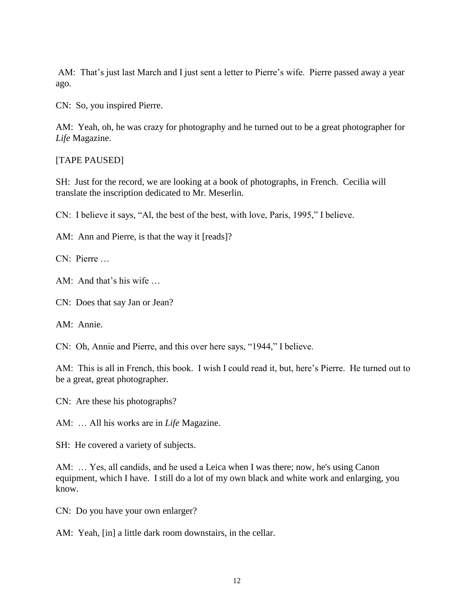AM: That's just last March and I just sent a letter to Pierre's wife. Pierre passed away a year ago.

CN: So, you inspired Pierre.

AM: Yeah, oh, he was crazy for photography and he turned out to be a great photographer for *Life* Magazine.

[TAPE PAUSED]

SH: Just for the record, we are looking at a book of photographs, in French. Cecilia will translate the inscription dedicated to Mr. Meserlin.

CN: I believe it says, "Al, the best of the best, with love, Paris, 1995," I believe.

AM: Ann and Pierre, is that the way it [reads]?

CN: Pierre …

AM: And that's his wife ...

CN: Does that say Jan or Jean?

AM: Annie.

CN: Oh, Annie and Pierre, and this over here says, "1944," I believe.

AM: This is all in French, this book. I wish I could read it, but, here"s Pierre. He turned out to be a great, great photographer.

CN: Are these his photographs?

AM: … All his works are in *Life* Magazine.

SH: He covered a variety of subjects.

AM: … Yes, all candids, and he used a Leica when I was there; now, he's using Canon equipment, which I have. I still do a lot of my own black and white work and enlarging, you know.

CN: Do you have your own enlarger?

AM: Yeah, [in] a little dark room downstairs, in the cellar.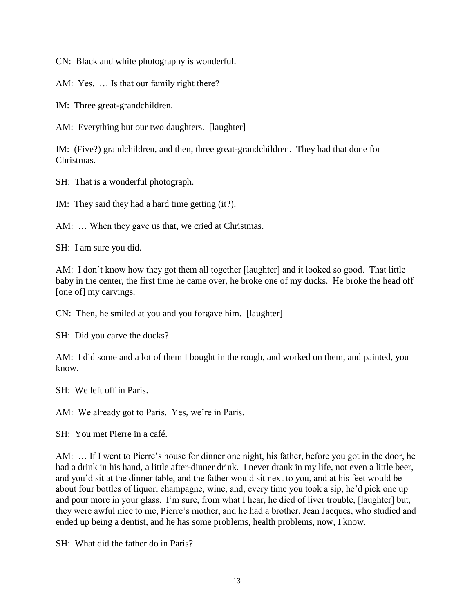CN: Black and white photography is wonderful.

AM: Yes. … Is that our family right there?

IM: Three great-grandchildren.

AM: Everything but our two daughters. [laughter]

IM: (Five?) grandchildren, and then, three great-grandchildren. They had that done for Christmas.

SH: That is a wonderful photograph.

IM: They said they had a hard time getting (it?).

AM: ... When they gave us that, we cried at Christmas.

SH: I am sure you did.

AM: I don't know how they got them all together [laughter] and it looked so good. That little baby in the center, the first time he came over, he broke one of my ducks. He broke the head off [one of] my carvings.

CN: Then, he smiled at you and you forgave him. [laughter]

SH: Did you carve the ducks?

AM: I did some and a lot of them I bought in the rough, and worked on them, and painted, you know.

SH: We left off in Paris.

AM: We already got to Paris. Yes, we're in Paris.

SH: You met Pierre in a café.

AM: ... If I went to Pierre's house for dinner one night, his father, before you got in the door, he had a drink in his hand, a little after-dinner drink. I never drank in my life, not even a little beer, and you"d sit at the dinner table, and the father would sit next to you, and at his feet would be about four bottles of liquor, champagne, wine, and, every time you took a sip, he"d pick one up and pour more in your glass. I"m sure, from what I hear, he died of liver trouble, [laughter] but, they were awful nice to me, Pierre"s mother, and he had a brother, Jean Jacques, who studied and ended up being a dentist, and he has some problems, health problems, now, I know.

SH: What did the father do in Paris?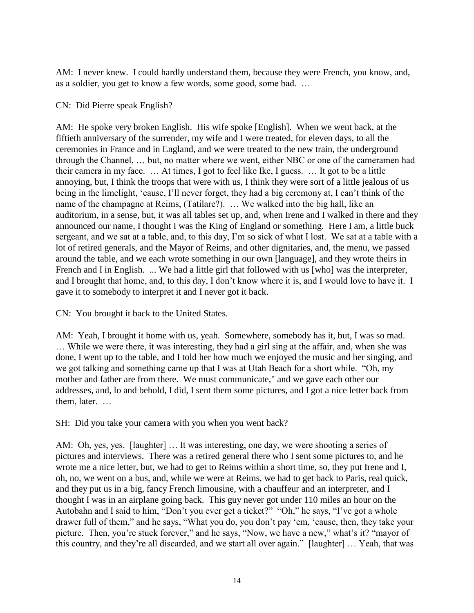AM: I never knew. I could hardly understand them, because they were French, you know, and, as a soldier, you get to know a few words, some good, some bad. …

## CN: Did Pierre speak English?

AM: He spoke very broken English. His wife spoke [English]. When we went back, at the fiftieth anniversary of the surrender, my wife and I were treated, for eleven days, to all the ceremonies in France and in England, and we were treated to the new train, the underground through the Channel, … but, no matter where we went, either NBC or one of the cameramen had their camera in my face. … At times, I got to feel like Ike, I guess. … It got to be a little annoying, but, I think the troops that were with us, I think they were sort of a little jealous of us being in the limelight, "cause, I"ll never forget, they had a big ceremony at, I can"t think of the name of the champagne at Reims, (Tatilare?). … We walked into the big hall, like an auditorium, in a sense, but, it was all tables set up, and, when Irene and I walked in there and they announced our name, I thought I was the King of England or something. Here I am, a little buck sergeant, and we sat at a table, and, to this day, I'm so sick of what I lost. We sat at a table with a lot of retired generals, and the Mayor of Reims, and other dignitaries, and, the menu, we passed around the table, and we each wrote something in our own [language], and they wrote theirs in French and I in English. ... We had a little girl that followed with us [who] was the interpreter, and I brought that home, and, to this day, I don't know where it is, and I would love to have it. I gave it to somebody to interpret it and I never got it back.

CN: You brought it back to the United States.

AM: Yeah, I brought it home with us, yeah. Somewhere, somebody has it, but, I was so mad. … While we were there, it was interesting, they had a girl sing at the affair, and, when she was done, I went up to the table, and I told her how much we enjoyed the music and her singing, and we got talking and something came up that I was at Utah Beach for a short while. "Oh, my mother and father are from there. We must communicate," and we gave each other our addresses, and, lo and behold, I did, I sent them some pictures, and I got a nice letter back from them, later. …

SH: Did you take your camera with you when you went back?

AM: Oh, yes, yes. [laughter] … It was interesting, one day, we were shooting a series of pictures and interviews. There was a retired general there who I sent some pictures to, and he wrote me a nice letter, but, we had to get to Reims within a short time, so, they put Irene and I, oh, no, we went on a bus, and, while we were at Reims, we had to get back to Paris, real quick, and they put us in a big, fancy French limousine, with a chauffeur and an interpreter, and I thought I was in an airplane going back. This guy never got under 110 miles an hour on the Autobahn and I said to him, "Don"t you ever get a ticket?" "Oh," he says, "I"ve got a whole drawer full of them," and he says, "What you do, you don"t pay "em, "cause, then, they take your picture. Then, you're stuck forever," and he says, "Now, we have a new," what's it? "mayor of this country, and they"re all discarded, and we start all over again." [laughter] … Yeah, that was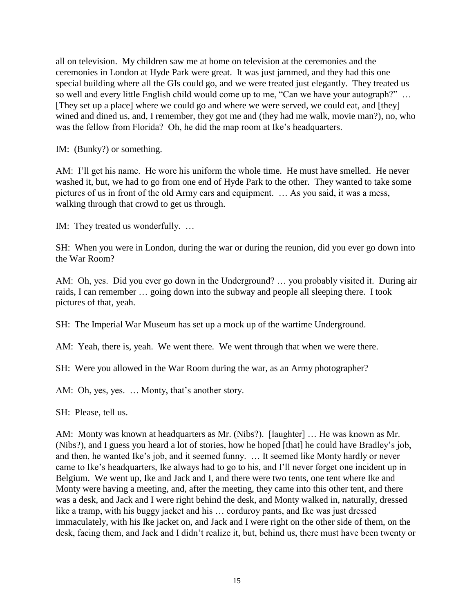all on television. My children saw me at home on television at the ceremonies and the ceremonies in London at Hyde Park were great. It was just jammed, and they had this one special building where all the GIs could go, and we were treated just elegantly. They treated us so well and every little English child would come up to me, "Can we have your autograph?" … [They set up a place] where we could go and where we were served, we could eat, and [they] wined and dined us, and, I remember, they got me and (they had me walk, movie man?), no, who was the fellow from Florida? Oh, he did the map room at Ike's headquarters.

IM: (Bunky?) or something.

AM: I'll get his name. He wore his uniform the whole time. He must have smelled. He never washed it, but, we had to go from one end of Hyde Park to the other. They wanted to take some pictures of us in front of the old Army cars and equipment. … As you said, it was a mess, walking through that crowd to get us through.

IM: They treated us wonderfully. …

SH: When you were in London, during the war or during the reunion, did you ever go down into the War Room?

AM: Oh, yes. Did you ever go down in the Underground? … you probably visited it. During air raids, I can remember … going down into the subway and people all sleeping there. I took pictures of that, yeah.

SH: The Imperial War Museum has set up a mock up of the wartime Underground.

AM: Yeah, there is, yeah. We went there. We went through that when we were there.

SH: Were you allowed in the War Room during the war, as an Army photographer?

AM: Oh, yes, yes. ... Monty, that's another story.

SH: Please, tell us.

AM: Monty was known at headquarters as Mr. (Nibs?). [laughter] … He was known as Mr. (Nibs?), and I guess you heard a lot of stories, how he hoped [that] he could have Bradley"s job, and then, he wanted Ike"s job, and it seemed funny. … It seemed like Monty hardly or never came to Ike"s headquarters, Ike always had to go to his, and I"ll never forget one incident up in Belgium. We went up, Ike and Jack and I, and there were two tents, one tent where Ike and Monty were having a meeting, and, after the meeting, they came into this other tent, and there was a desk, and Jack and I were right behind the desk, and Monty walked in, naturally, dressed like a tramp, with his buggy jacket and his … corduroy pants, and Ike was just dressed immaculately, with his Ike jacket on, and Jack and I were right on the other side of them, on the desk, facing them, and Jack and I didn"t realize it, but, behind us, there must have been twenty or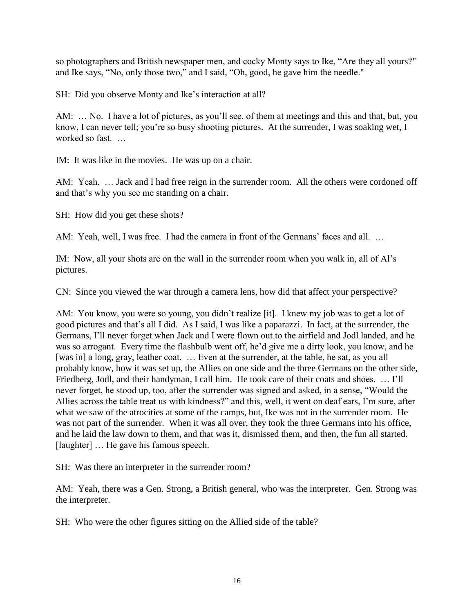so photographers and British newspaper men, and cocky Monty says to Ike, "Are they all yours?" and Ike says, "No, only those two," and I said, "Oh, good, he gave him the needle."

SH: Did you observe Monty and Ike"s interaction at all?

AM: … No. I have a lot of pictures, as you"ll see, of them at meetings and this and that, but, you know, I can never tell; you're so busy shooting pictures. At the surrender, I was soaking wet, I worked so fast. …

IM: It was like in the movies. He was up on a chair.

AM: Yeah. … Jack and I had free reign in the surrender room. All the others were cordoned off and that"s why you see me standing on a chair.

SH: How did you get these shots?

AM: Yeah, well, I was free. I had the camera in front of the Germans' faces and all. ...

IM: Now, all your shots are on the wall in the surrender room when you walk in, all of Al"s pictures.

CN: Since you viewed the war through a camera lens, how did that affect your perspective?

AM: You know, you were so young, you didn't realize [it]. I knew my job was to get a lot of good pictures and that"s all I did. As I said, I was like a paparazzi. In fact, at the surrender, the Germans, I"ll never forget when Jack and I were flown out to the airfield and Jodl landed, and he was so arrogant. Every time the flashbulb went off, he"d give me a dirty look, you know, and he [was in] a long, gray, leather coat. ... Even at the surrender, at the table, he sat, as you all probably know, how it was set up, the Allies on one side and the three Germans on the other side, Friedberg, Jodl, and their handyman, I call him. He took care of their coats and shoes. … I"ll never forget, he stood up, too, after the surrender was signed and asked, in a sense, "Would the Allies across the table treat us with kindness?" and this, well, it went on deaf ears, I"m sure, after what we saw of the atrocities at some of the camps, but, Ike was not in the surrender room. He was not part of the surrender. When it was all over, they took the three Germans into his office, and he laid the law down to them, and that was it, dismissed them, and then, the fun all started. [laughter] ... He gave his famous speech.

SH: Was there an interpreter in the surrender room?

AM: Yeah, there was a Gen. Strong, a British general, who was the interpreter. Gen. Strong was the interpreter.

SH: Who were the other figures sitting on the Allied side of the table?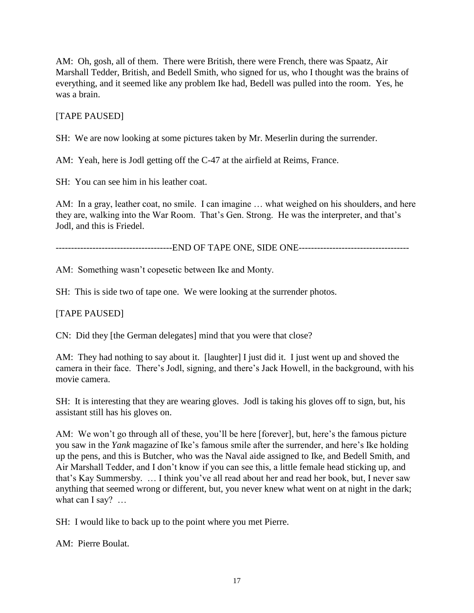AM: Oh, gosh, all of them. There were British, there were French, there was Spaatz, Air Marshall Tedder, British, and Bedell Smith, who signed for us, who I thought was the brains of everything, and it seemed like any problem Ike had, Bedell was pulled into the room. Yes, he was a brain.

## [TAPE PAUSED]

SH: We are now looking at some pictures taken by Mr. Meserlin during the surrender.

AM: Yeah, here is Jodl getting off the C-47 at the airfield at Reims, France.

SH: You can see him in his leather coat.

AM: In a gray, leather coat, no smile. I can imagine ... what weighed on his shoulders, and here they are, walking into the War Room. That"s Gen. Strong. He was the interpreter, and that"s Jodl, and this is Friedel.

--------------------------------------END OF TAPE ONE, SIDE ONE------------------------------------

AM: Something wasn't copesetic between Ike and Monty.

SH: This is side two of tape one. We were looking at the surrender photos.

### [TAPE PAUSED]

CN: Did they [the German delegates] mind that you were that close?

AM: They had nothing to say about it. [laughter] I just did it. I just went up and shoved the camera in their face. There"s Jodl, signing, and there"s Jack Howell, in the background, with his movie camera.

SH: It is interesting that they are wearing gloves. Jodl is taking his gloves off to sign, but, his assistant still has his gloves on.

AM: We won't go through all of these, you'll be here [forever], but, here's the famous picture you saw in the *Yank* magazine of Ike"s famous smile after the surrender, and here"s Ike holding up the pens, and this is Butcher, who was the Naval aide assigned to Ike, and Bedell Smith, and Air Marshall Tedder, and I don"t know if you can see this, a little female head sticking up, and that"s Kay Summersby. … I think you"ve all read about her and read her book, but, I never saw anything that seemed wrong or different, but, you never knew what went on at night in the dark; what can I say? ...

SH: I would like to back up to the point where you met Pierre.

AM: Pierre Boulat.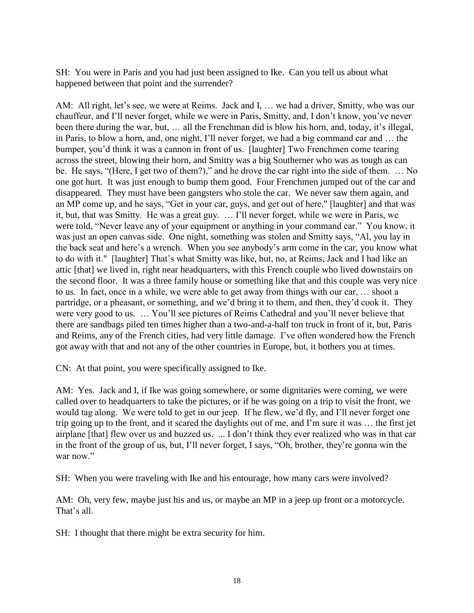SH: You were in Paris and you had just been assigned to Ike. Can you tell us about what happened between that point and the surrender?

AM: All right, let's see, we were at Reims. Jack and I, ... we had a driver, Smitty, who was our chauffeur, and I"ll never forget, while we were in Paris, Smitty, and, I don"t know, you"ve never been there during the war, but, ... all the Frenchman did is blow his horn, and, today, it's illegal, in Paris, to blow a horn, and, one night, I"ll never forget, we had a big command car and … the bumper, you"d think it was a cannon in front of us. [laughter] Two Frenchmen come tearing across the street, blowing their horn, and Smitty was a big Southerner who was as tough as can be. He says, "(Here, I get two of them?)," and he drove the car right into the side of them. … No one got hurt. It was just enough to bump them good. Four Frenchmen jumped out of the car and disappeared. They must have been gangsters who stole the car. We never saw them again, and an MP come up, and he says, "Get in your car, guys, and get out of here," [laughter] and that was it, but, that was Smitty. He was a great guy. … I"ll never forget, while we were in Paris, we were told, "Never leave any of your equipment or anything in your command car." You know, it was just an open canvas side. One night, something was stolen and Smitty says, "Al, you lay in the back seat and here"s a wrench. When you see anybody"s arm come in the car, you know what to do with it." [laughter] That"s what Smitty was like, but, no, at Reims, Jack and I had like an attic [that] we lived in, right near headquarters, with this French couple who lived downstairs on the second floor. It was a three family house or something like that and this couple was very nice to us. In fact, once in a while, we were able to get away from things with our car, … shoot a partridge, or a pheasant, or something, and we"d bring it to them, and then, they"d cook it. They were very good to us. … You"ll see pictures of Reims Cathedral and you"ll never believe that there are sandbags piled ten times higher than a two-and-a-half ton truck in front of it, but, Paris and Reims, any of the French cities, had very little damage. I"ve often wondered how the French got away with that and not any of the other countries in Europe, but, it bothers you at times.

CN: At that point, you were specifically assigned to Ike.

AM: Yes. Jack and I, if Ike was going somewhere, or some dignitaries were coming, we were called over to headquarters to take the pictures, or if he was going on a trip to visit the front, we would tag along. We were told to get in our jeep. If he flew, we'd fly, and I'll never forget one trip going up to the front, and it scared the daylights out of me, and I"m sure it was … the first jet airplane [that] flew over us and buzzed us. ... I don"t think they ever realized who was in that car in the front of the group of us, but, I"ll never forget, I says, "Oh, brother, they"re gonna win the war now"

SH: When you were traveling with Ike and his entourage, how many cars were involved?

AM: Oh, very few, maybe just his and us, or maybe an MP in a jeep up front or a motorcycle. That's all.

SH: I thought that there might be extra security for him.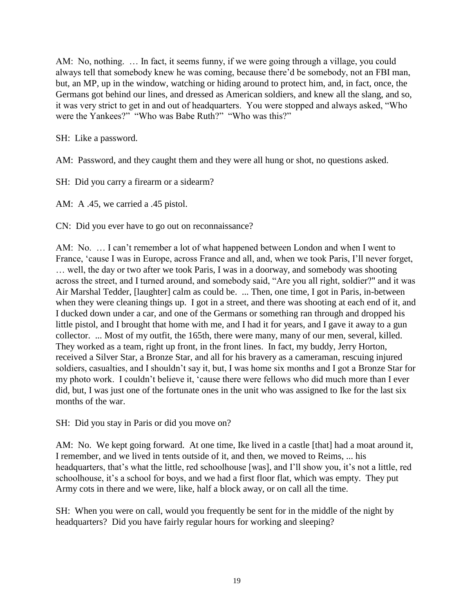AM: No, nothing. … In fact, it seems funny, if we were going through a village, you could always tell that somebody knew he was coming, because there"d be somebody, not an FBI man, but, an MP, up in the window, watching or hiding around to protect him, and, in fact, once, the Germans got behind our lines, and dressed as American soldiers, and knew all the slang, and so, it was very strict to get in and out of headquarters. You were stopped and always asked, "Who were the Yankees?" "Who was Babe Ruth?" "Who was this?"

SH: Like a password.

AM: Password, and they caught them and they were all hung or shot, no questions asked.

SH: Did you carry a firearm or a sidearm?

AM: A .45, we carried a .45 pistol.

CN: Did you ever have to go out on reconnaissance?

AM: No. … I can"t remember a lot of what happened between London and when I went to France, "cause I was in Europe, across France and all, and, when we took Paris, I"ll never forget, … well, the day or two after we took Paris, I was in a doorway, and somebody was shooting across the street, and I turned around, and somebody said, "Are you all right, soldier?" and it was Air Marshal Tedder, [laughter] calm as could be. ... Then, one time, I got in Paris, in-between when they were cleaning things up. I got in a street, and there was shooting at each end of it, and I ducked down under a car, and one of the Germans or something ran through and dropped his little pistol, and I brought that home with me, and I had it for years, and I gave it away to a gun collector. ... Most of my outfit, the 165th, there were many, many of our men, several, killed. They worked as a team, right up front, in the front lines. In fact, my buddy, Jerry Horton, received a Silver Star, a Bronze Star, and all for his bravery as a cameraman, rescuing injured soldiers, casualties, and I shouldn"t say it, but, I was home six months and I got a Bronze Star for my photo work. I couldn"t believe it, "cause there were fellows who did much more than I ever did, but, I was just one of the fortunate ones in the unit who was assigned to Ike for the last six months of the war.

SH: Did you stay in Paris or did you move on?

AM: No. We kept going forward. At one time, Ike lived in a castle [that] had a moat around it, I remember, and we lived in tents outside of it, and then, we moved to Reims, ... his headquarters, that's what the little, red schoolhouse [was], and I'll show you, it's not a little, red schoolhouse, it's a school for boys, and we had a first floor flat, which was empty. They put Army cots in there and we were, like, half a block away, or on call all the time.

SH: When you were on call, would you frequently be sent for in the middle of the night by headquarters? Did you have fairly regular hours for working and sleeping?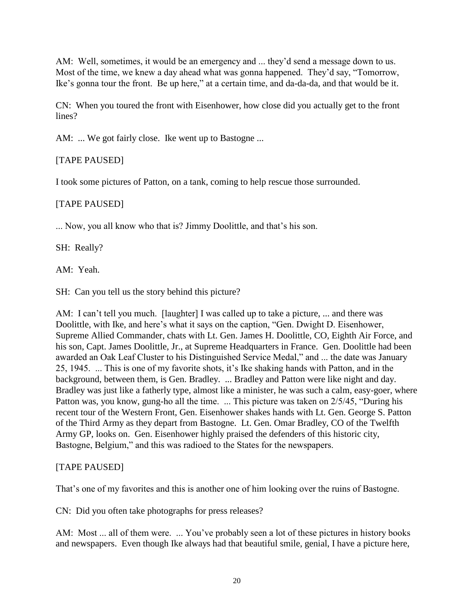AM: Well, sometimes, it would be an emergency and ... they'd send a message down to us. Most of the time, we knew a day ahead what was gonna happened. They"d say, "Tomorrow, Ike"s gonna tour the front. Be up here," at a certain time, and da-da-da, and that would be it.

CN: When you toured the front with Eisenhower, how close did you actually get to the front lines?

AM: ... We got fairly close. Ike went up to Bastogne ...

[TAPE PAUSED]

I took some pictures of Patton, on a tank, coming to help rescue those surrounded.

## [TAPE PAUSED]

... Now, you all know who that is? Jimmy Doolittle, and that"s his son.

SH: Really?

AM: Yeah.

SH: Can you tell us the story behind this picture?

AM: I can't tell you much. [laughter] I was called up to take a picture, ... and there was Doolittle, with Ike, and here"s what it says on the caption, "Gen. Dwight D. Eisenhower, Supreme Allied Commander, chats with Lt. Gen. James H. Doolittle, CO, Eighth Air Force, and his son, Capt. James Doolittle, Jr., at Supreme Headquarters in France. Gen. Doolittle had been awarded an Oak Leaf Cluster to his Distinguished Service Medal," and ... the date was January 25, 1945. ... This is one of my favorite shots, it"s Ike shaking hands with Patton, and in the background, between them, is Gen. Bradley. ... Bradley and Patton were like night and day. Bradley was just like a fatherly type, almost like a minister, he was such a calm, easy-goer, where Patton was, you know, gung-ho all the time. ... This picture was taken on 2/5/45, "During his recent tour of the Western Front, Gen. Eisenhower shakes hands with Lt. Gen. George S. Patton of the Third Army as they depart from Bastogne. Lt. Gen. Omar Bradley, CO of the Twelfth Army GP, looks on. Gen. Eisenhower highly praised the defenders of this historic city, Bastogne, Belgium," and this was radioed to the States for the newspapers.

## [TAPE PAUSED]

That's one of my favorites and this is another one of him looking over the ruins of Bastogne.

CN: Did you often take photographs for press releases?

AM: Most ... all of them were. ... You've probably seen a lot of these pictures in history books and newspapers. Even though Ike always had that beautiful smile, genial, I have a picture here,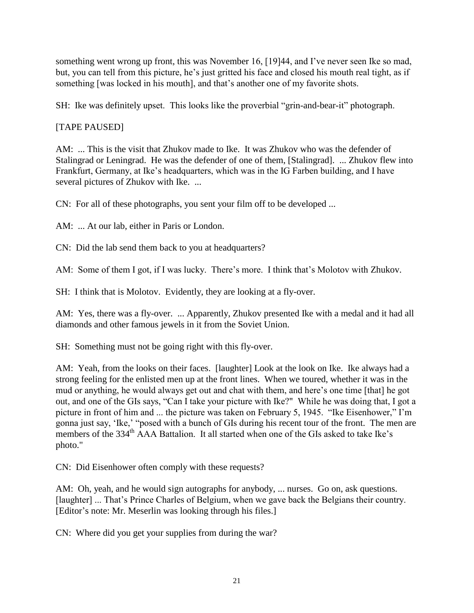something went wrong up front, this was November 16, [19]44, and I've never seen Ike so mad, but, you can tell from this picture, he"s just gritted his face and closed his mouth real tight, as if something [was locked in his mouth], and that's another one of my favorite shots.

SH: Ike was definitely upset. This looks like the proverbial "grin-and-bear-it" photograph.

# [TAPE PAUSED]

AM: ... This is the visit that Zhukov made to Ike. It was Zhukov who was the defender of Stalingrad or Leningrad. He was the defender of one of them, [Stalingrad]. ... Zhukov flew into Frankfurt, Germany, at Ike"s headquarters, which was in the IG Farben building, and I have several pictures of Zhukov with Ike. ...

CN: For all of these photographs, you sent your film off to be developed ...

AM: ... At our lab, either in Paris or London.

CN: Did the lab send them back to you at headquarters?

AM: Some of them I got, if I was lucky. There's more. I think that's Molotov with Zhukov.

SH: I think that is Molotov. Evidently, they are looking at a fly-over.

AM: Yes, there was a fly-over. ... Apparently, Zhukov presented Ike with a medal and it had all diamonds and other famous jewels in it from the Soviet Union.

SH: Something must not be going right with this fly-over.

AM: Yeah, from the looks on their faces. [laughter] Look at the look on Ike. Ike always had a strong feeling for the enlisted men up at the front lines. When we toured, whether it was in the mud or anything, he would always get out and chat with them, and here's one time [that] he got out, and one of the GIs says, "Can I take your picture with Ike?" While he was doing that, I got a picture in front of him and ... the picture was taken on February 5, 1945. "Ike Eisenhower," I'm gonna just say, 'Ike,' "posed with a bunch of GIs during his recent tour of the front. The men are members of the 334<sup>th</sup> AAA Battalion. It all started when one of the GIs asked to take Ike's photo."

CN: Did Eisenhower often comply with these requests?

AM: Oh, yeah, and he would sign autographs for any body, ... nurses. Go on, ask questions. [laughter] ... That's Prince Charles of Belgium, when we gave back the Belgians their country. [Editor's note: Mr. Meserlin was looking through his files.]

CN: Where did you get your supplies from during the war?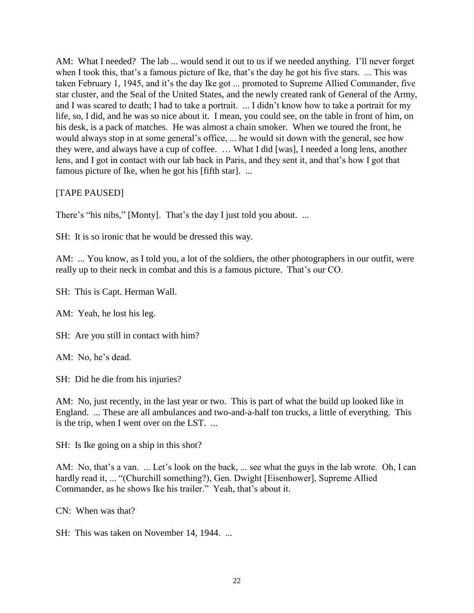AM: What I needed? The lab ... would send it out to us if we needed anything. I'll never forget when I took this, that's a famous picture of Ike, that's the day he got his five stars. ... This was taken February 1, 1945, and it"s the day Ike got ... promoted to Supreme Allied Commander, five star cluster, and the Seal of the United States, and the newly created rank of General of the Army, and I was scared to death; I had to take a portrait. ... I didn"t know how to take a portrait for my life, so, I did, and he was so nice about it. I mean, you could see, on the table in front of him, on his desk, is a pack of matches. He was almost a chain smoker. When we toured the front, he would always stop in at some general"s office, ... he would sit down with the general, see how they were, and always have a cup of coffee. … What I did [was], I needed a long lens, another lens, and I got in contact with our lab back in Paris, and they sent it, and that's how I got that famous picture of Ike, when he got his [fifth star]. ...

## [TAPE PAUSED]

There's "his nibs," [Monty]. That's the day I just told you about. ...

SH: It is so ironic that he would be dressed this way.

AM: ... You know, as I told you, a lot of the soldiers, the other photographers in our outfit, were really up to their neck in combat and this is a famous picture. That"s our CO.

SH: This is Capt. Herman Wall.

AM: Yeah, he lost his leg.

SH: Are you still in contact with him?

AM: No, he's dead.

SH: Did he die from his injuries?

AM: No, just recently, in the last year or two. This is part of what the build up looked like in England. ... These are all ambulances and two-and-a-half ton trucks, a little of everything. This is the trip, when I went over on the LST. ...

SH: Is Ike going on a ship in this shot?

AM: No, that's a van. ... Let's look on the back, ... see what the guys in the lab wrote. Oh, I can hardly read it, ... "(Churchill something?), Gen. Dwight [Eisenhower], Supreme Allied Commander, as he shows Ike his trailer." Yeah, that's about it.

CN: When was that?

SH: This was taken on November 14, 1944. ...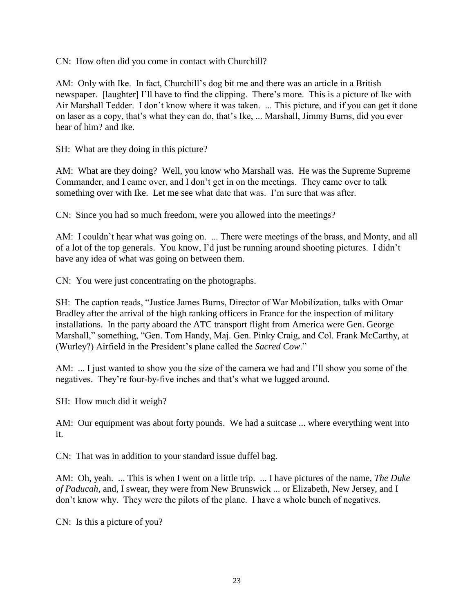CN: How often did you come in contact with Churchill?

AM: Only with Ike. In fact, Churchill"s dog bit me and there was an article in a British newspaper. [laughter] I"ll have to find the clipping. There"s more. This is a picture of Ike with Air Marshall Tedder. I don"t know where it was taken. ... This picture, and if you can get it done on laser as a copy, that"s what they can do, that"s Ike, ... Marshall, Jimmy Burns, did you ever hear of him? and Ike.

SH: What are they doing in this picture?

AM: What are they doing? Well, you know who Marshall was. He was the Supreme Supreme Commander, and I came over, and I don"t get in on the meetings. They came over to talk something over with Ike. Let me see what date that was. I"m sure that was after.

CN: Since you had so much freedom, were you allowed into the meetings?

AM: I couldn't hear what was going on. ... There were meetings of the brass, and Monty, and all of a lot of the top generals. You know, I"d just be running around shooting pictures. I didn"t have any idea of what was going on between them.

CN: You were just concentrating on the photographs.

SH: The caption reads, "Justice James Burns, Director of War Mobilization, talks with Omar Bradley after the arrival of the high ranking officers in France for the inspection of military installations. In the party aboard the ATC transport flight from America were Gen. George Marshall," something, "Gen. Tom Handy, Maj. Gen. Pinky Craig, and Col. Frank McCarthy, at (Wurley?) Airfield in the President"s plane called the *Sacred Cow*."

AM: ... I just wanted to show you the size of the camera we had and I'll show you some of the negatives. They're four-by-five inches and that's what we lugged around.

SH: How much did it weigh?

AM: Our equipment was about forty pounds. We had a suitcase ... where everything went into it.

CN: That was in addition to your standard issue duffel bag.

AM: Oh, yeah. ... This is when I went on a little trip. ... I have pictures of the name, *The Duke of Paducah,* and, I swear, they were from New Brunswick ... or Elizabeth, New Jersey, and I don"t know why. They were the pilots of the plane. I have a whole bunch of negatives.

CN: Is this a picture of you?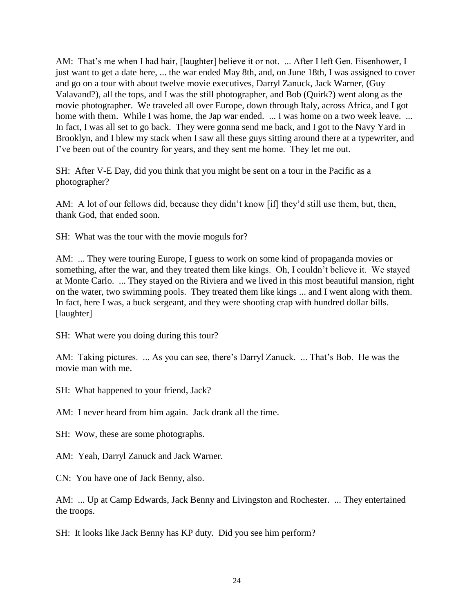AM: That's me when I had hair, [laughter] believe it or not. ... After I left Gen. Eisenhower, I just want to get a date here, ... the war ended May 8th, and, on June 18th, I was assigned to cover and go on a tour with about twelve movie executives, Darryl Zanuck, Jack Warner, (Guy Valavand?), all the tops, and I was the still photographer, and Bob (Quirk?) went along as the movie photographer. We traveled all over Europe, down through Italy, across Africa, and I got home with them. While I was home, the Jap war ended. ... I was home on a two week leave. ... In fact, I was all set to go back. They were gonna send me back, and I got to the Navy Yard in Brooklyn, and I blew my stack when I saw all these guys sitting around there at a typewriter, and I"ve been out of the country for years, and they sent me home. They let me out.

SH: After V-E Day, did you think that you might be sent on a tour in the Pacific as a photographer?

AM: A lot of our fellows did, because they didn't know [if] they'd still use them, but, then, thank God, that ended soon.

SH: What was the tour with the movie moguls for?

AM: ... They were touring Europe, I guess to work on some kind of propaganda movies or something, after the war, and they treated them like kings. Oh, I couldn"t believe it. We stayed at Monte Carlo. ... They stayed on the Riviera and we lived in this most beautiful mansion, right on the water, two swimming pools. They treated them like kings ... and I went along with them. In fact, here I was, a buck sergeant, and they were shooting crap with hundred dollar bills. [laughter]

SH: What were you doing during this tour?

AM: Taking pictures. ... As you can see, there's Darryl Zanuck. ... That's Bob. He was the movie man with me.

SH: What happened to your friend, Jack?

AM: I never heard from him again. Jack drank all the time.

SH: Wow, these are some photographs.

AM: Yeah, Darryl Zanuck and Jack Warner.

CN: You have one of Jack Benny, also.

AM: ... Up at Camp Edwards, Jack Benny and Livingston and Rochester. ... They entertained the troops.

SH: It looks like Jack Benny has KP duty. Did you see him perform?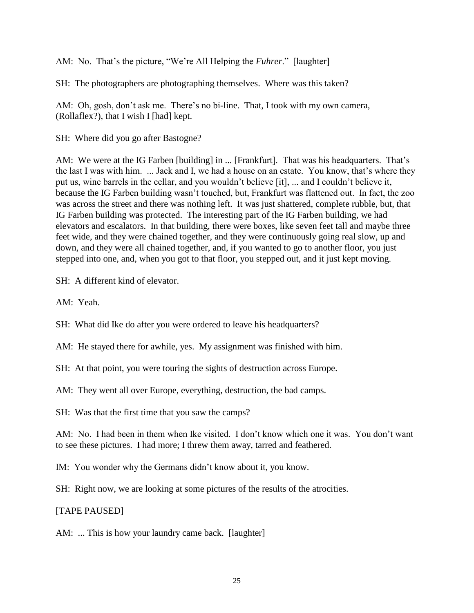AM: No. That's the picture, "We're All Helping the *Fuhrer*." [laughter]

SH: The photographers are photographing themselves. Where was this taken?

AM: Oh, gosh, don't ask me. There's no bi-line. That, I took with my own camera, (Rollaflex?), that I wish I [had] kept.

SH: Where did you go after Bastogne?

AM: We were at the IG Farben [building] in ... [Frankfurt]. That was his headquarters. That's the last I was with him. ... Jack and I, we had a house on an estate. You know, that"s where they put us, wine barrels in the cellar, and you wouldn"t believe [it], ... and I couldn"t believe it, because the IG Farben building wasn"t touched, but, Frankfurt was flattened out. In fact, the zoo was across the street and there was nothing left. It was just shattered, complete rubble, but, that IG Farben building was protected. The interesting part of the IG Farben building, we had elevators and escalators. In that building, there were boxes, like seven feet tall and maybe three feet wide, and they were chained together, and they were continuously going real slow, up and down, and they were all chained together, and, if you wanted to go to another floor, you just stepped into one, and, when you got to that floor, you stepped out, and it just kept moving.

SH: A different kind of elevator.

AM: Yeah.

SH: What did Ike do after you were ordered to leave his headquarters?

AM: He stayed there for awhile, yes. My assignment was finished with him.

SH: At that point, you were touring the sights of destruction across Europe.

AM: They went all over Europe, everything, destruction, the bad camps.

SH: Was that the first time that you saw the camps?

AM: No. I had been in them when Ike visited. I don"t know which one it was. You don"t want to see these pictures. I had more; I threw them away, tarred and feathered.

IM: You wonder why the Germans didn"t know about it, you know.

SH: Right now, we are looking at some pictures of the results of the atrocities.

[TAPE PAUSED]

AM: ... This is how your laundry came back. [laughter]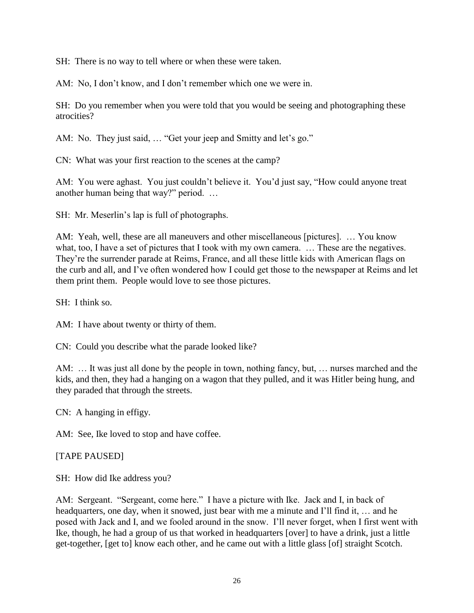SH: There is no way to tell where or when these were taken.

AM: No, I don't know, and I don't remember which one we were in.

SH: Do you remember when you were told that you would be seeing and photographing these atrocities?

AM: No. They just said, ... "Get your jeep and Smitty and let's go."

CN: What was your first reaction to the scenes at the camp?

AM: You were aghast. You just couldn"t believe it. You"d just say, "How could anyone treat another human being that way?" period. …

SH: Mr. Meserlin's lap is full of photographs.

AM: Yeah, well, these are all maneuvers and other miscellaneous [pictures]. … You know what, too, I have a set of pictures that I took with my own camera. ... These are the negatives. They"re the surrender parade at Reims, France, and all these little kids with American flags on the curb and all, and I"ve often wondered how I could get those to the newspaper at Reims and let them print them. People would love to see those pictures.

SH: I think so.

AM: I have about twenty or thirty of them.

CN: Could you describe what the parade looked like?

AM: … It was just all done by the people in town, nothing fancy, but, … nurses marched and the kids, and then, they had a hanging on a wagon that they pulled, and it was Hitler being hung, and they paraded that through the streets.

CN: A hanging in effigy.

AM: See, Ike loved to stop and have coffee.

[TAPE PAUSED]

SH: How did Ike address you?

AM: Sergeant. "Sergeant, come here." I have a picture with Ike. Jack and I, in back of headquarters, one day, when it snowed, just bear with me a minute and I"ll find it, … and he posed with Jack and I, and we fooled around in the snow. I"ll never forget, when I first went with Ike, though, he had a group of us that worked in headquarters [over] to have a drink, just a little get-together, [get to] know each other, and he came out with a little glass [of] straight Scotch.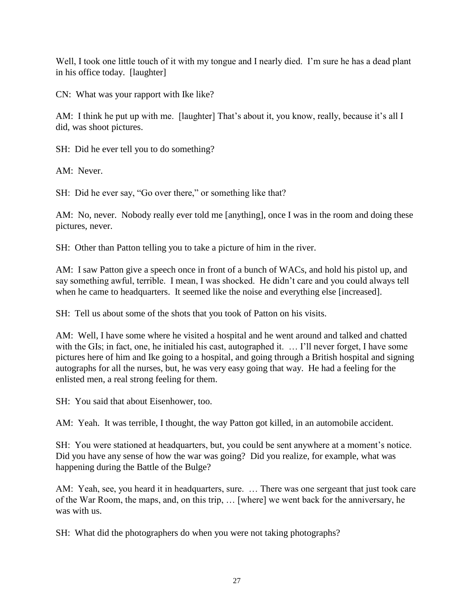Well, I took one little touch of it with my tongue and I nearly died. I'm sure he has a dead plant in his office today. [laughter]

CN: What was your rapport with Ike like?

AM: I think he put up with me. [laughter] That's about it, you know, really, because it's all I did, was shoot pictures.

SH: Did he ever tell you to do something?

AM: Never.

SH: Did he ever say, "Go over there," or something like that?

AM: No, never. Nobody really ever told me [anything], once I was in the room and doing these pictures, never.

SH: Other than Patton telling you to take a picture of him in the river.

AM: I saw Patton give a speech once in front of a bunch of WACs, and hold his pistol up, and say something awful, terrible. I mean, I was shocked. He didn"t care and you could always tell when he came to headquarters. It seemed like the noise and everything else [increased].

SH: Tell us about some of the shots that you took of Patton on his visits.

AM: Well, I have some where he visited a hospital and he went around and talked and chatted with the GIs; in fact, one, he initialed his cast, autographed it. ... I'll never forget, I have some pictures here of him and Ike going to a hospital, and going through a British hospital and signing autographs for all the nurses, but, he was very easy going that way. He had a feeling for the enlisted men, a real strong feeling for them.

SH: You said that about Eisenhower, too.

AM: Yeah. It was terrible, I thought, the way Patton got killed, in an automobile accident.

SH: You were stationed at headquarters, but, you could be sent anywhere at a moment's notice. Did you have any sense of how the war was going? Did you realize, for example, what was happening during the Battle of the Bulge?

AM: Yeah, see, you heard it in headquarters, sure. … There was one sergeant that just took care of the War Room, the maps, and, on this trip, … [where] we went back for the anniversary, he was with us.

SH: What did the photographers do when you were not taking photographs?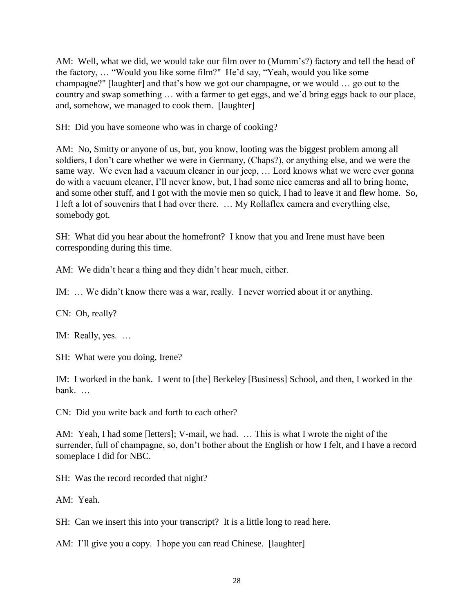AM: Well, what we did, we would take our film over to (Mumm's?) factory and tell the head of the factory, … "Would you like some film?" He"d say, "Yeah, would you like some champagne?" [laughter] and that"s how we got our champagne, or we would … go out to the country and swap something … with a farmer to get eggs, and we"d bring eggs back to our place, and, somehow, we managed to cook them. [laughter]

SH: Did you have someone who was in charge of cooking?

AM: No, Smitty or anyone of us, but, you know, looting was the biggest problem among all soldiers, I don"t care whether we were in Germany, (Chaps?), or anything else, and we were the same way. We even had a vacuum cleaner in our jeep, … Lord knows what we were ever gonna do with a vacuum cleaner, I"ll never know, but, I had some nice cameras and all to bring home, and some other stuff, and I got with the movie men so quick, I had to leave it and flew home. So, I left a lot of souvenirs that I had over there. … My Rollaflex camera and everything else, somebody got.

SH: What did you hear about the homefront? I know that you and Irene must have been corresponding during this time.

AM: We didn't hear a thing and they didn't hear much, either.

IM: … We didn"t know there was a war, really. I never worried about it or anything.

CN: Oh, really?

IM: Really, yes. …

SH: What were you doing, Irene?

IM: I worked in the bank. I went to [the] Berkeley [Business] School, and then, I worked in the bank. …

CN: Did you write back and forth to each other?

AM: Yeah, I had some [letters]; V-mail, we had. … This is what I wrote the night of the surrender, full of champagne, so, don't bother about the English or how I felt, and I have a record someplace I did for NBC.

SH: Was the record recorded that night?

AM: Yeah.

SH: Can we insert this into your transcript? It is a little long to read here.

AM: I'll give you a copy. I hope you can read Chinese. [laughter]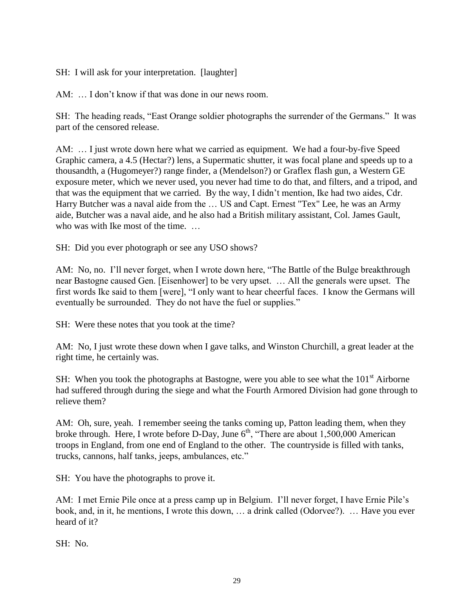SH: I will ask for your interpretation. [laughter]

AM: ... I don't know if that was done in our news room.

SH: The heading reads, "East Orange soldier photographs the surrender of the Germans." It was part of the censored release.

AM: … I just wrote down here what we carried as equipment. We had a four-by-five Speed Graphic camera, a 4.5 (Hectar?) lens, a Supermatic shutter, it was focal plane and speeds up to a thousandth, a (Hugomeyer?) range finder, a (Mendelson?) or Graflex flash gun, a Western GE exposure meter, which we never used, you never had time to do that, and filters, and a tripod, and that was the equipment that we carried. By the way, I didn"t mention, Ike had two aides, Cdr. Harry Butcher was a naval aide from the … US and Capt. Ernest "Tex" Lee, he was an Army aide, Butcher was a naval aide, and he also had a British military assistant, Col. James Gault, who was with Ike most of the time. ...

SH: Did you ever photograph or see any USO shows?

AM: No, no. I'll never forget, when I wrote down here, "The Battle of the Bulge breakthrough near Bastogne caused Gen. [Eisenhower] to be very upset. … All the generals were upset. The first words Ike said to them [were], "I only want to hear cheerful faces. I know the Germans will eventually be surrounded. They do not have the fuel or supplies."

SH: Were these notes that you took at the time?

AM: No, I just wrote these down when I gave talks, and Winston Churchill, a great leader at the right time, he certainly was.

SH: When you took the photographs at Bastogne, were you able to see what the  $101<sup>st</sup>$  Airborne had suffered through during the siege and what the Fourth Armored Division had gone through to relieve them?

AM: Oh, sure, yeah. I remember seeing the tanks coming up, Patton leading them, when they broke through. Here, I wrote before D-Day, June  $6<sup>th</sup>$ , "There are about 1,500,000 American troops in England, from one end of England to the other. The countryside is filled with tanks, trucks, cannons, half tanks, jeeps, ambulances, etc."

SH: You have the photographs to prove it.

AM: I met Ernie Pile once at a press camp up in Belgium. I"ll never forget, I have Ernie Pile"s book, and, in it, he mentions, I wrote this down, … a drink called (Odorvee?). … Have you ever heard of it?

SH: No.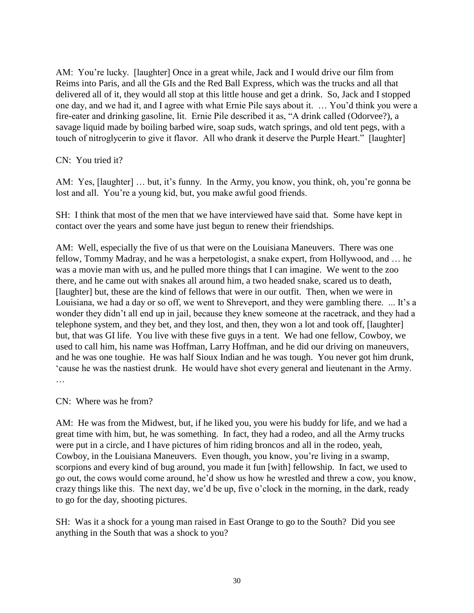AM: You're lucky. [laughter] Once in a great while, Jack and I would drive our film from Reims into Paris, and all the GIs and the Red Ball Express, which was the trucks and all that delivered all of it, they would all stop at this little house and get a drink. So, Jack and I stopped one day, and we had it, and I agree with what Ernie Pile says about it. … You"d think you were a fire-eater and drinking gasoline, lit. Ernie Pile described it as, "A drink called (Odorvee?), a savage liquid made by boiling barbed wire, soap suds, watch springs, and old tent pegs, with a touch of nitroglycerin to give it flavor. All who drank it deserve the Purple Heart." [laughter]

CN: You tried it?

AM: Yes, [laughter] ... but, it's funny. In the Army, you know, you think, oh, you're gonna be lost and all. You're a young kid, but, you make awful good friends.

SH: I think that most of the men that we have interviewed have said that. Some have kept in contact over the years and some have just begun to renew their friendships.

AM: Well, especially the five of us that were on the Louisiana Maneuvers. There was one fellow, Tommy Madray, and he was a herpetologist, a snake expert, from Hollywood, and … he was a movie man with us, and he pulled more things that I can imagine. We went to the zoo there, and he came out with snakes all around him, a two headed snake, scared us to death, [laughter] but, these are the kind of fellows that were in our outfit. Then, when we were in Louisiana, we had a day or so off, we went to Shreveport, and they were gambling there. ... It's a wonder they didn"t all end up in jail, because they knew someone at the racetrack, and they had a telephone system, and they bet, and they lost, and then, they won a lot and took off, [laughter] but, that was GI life. You live with these five guys in a tent. We had one fellow, Cowboy, we used to call him, his name was Hoffman, Larry Hoffman, and he did our driving on maneuvers, and he was one toughie. He was half Sioux Indian and he was tough. You never got him drunk, "cause he was the nastiest drunk. He would have shot every general and lieutenant in the Army. …

CN: Where was he from?

AM: He was from the Midwest, but, if he liked you, you were his buddy for life, and we had a great time with him, but, he was something. In fact, they had a rodeo, and all the Army trucks were put in a circle, and I have pictures of him riding broncos and all in the rodeo, yeah, Cowboy, in the Louisiana Maneuvers. Even though, you know, you"re living in a swamp, scorpions and every kind of bug around, you made it fun [with] fellowship. In fact, we used to go out, the cows would come around, he"d show us how he wrestled and threw a cow, you know, crazy things like this. The next day, we"d be up, five o"clock in the morning, in the dark, ready to go for the day, shooting pictures.

SH: Was it a shock for a young man raised in East Orange to go to the South? Did you see anything in the South that was a shock to you?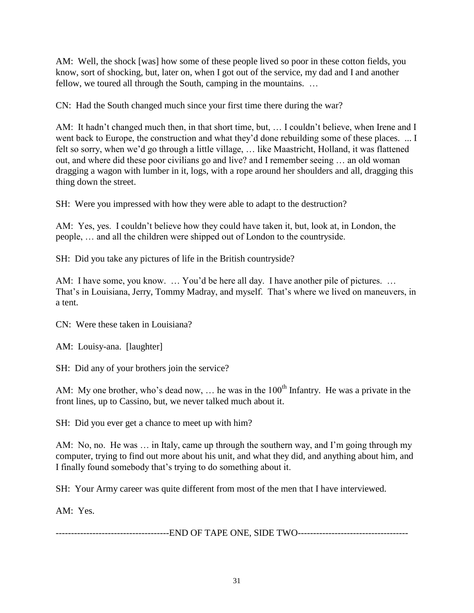AM: Well, the shock [was] how some of these people lived so poor in these cotton fields, you know, sort of shocking, but, later on, when I got out of the service, my dad and I and another fellow, we toured all through the South, camping in the mountains. …

CN: Had the South changed much since your first time there during the war?

AM: It hadn't changed much then, in that short time, but, ... I couldn't believe, when Irene and I went back to Europe, the construction and what they'd done rebuilding some of these places. ... I felt so sorry, when we"d go through a little village, … like Maastricht, Holland, it was flattened out, and where did these poor civilians go and live? and I remember seeing … an old woman dragging a wagon with lumber in it, logs, with a rope around her shoulders and all, dragging this thing down the street.

SH: Were you impressed with how they were able to adapt to the destruction?

AM: Yes, yes. I couldn"t believe how they could have taken it, but, look at, in London, the people, … and all the children were shipped out of London to the countryside.

SH: Did you take any pictures of life in the British countryside?

AM: I have some, you know. ... You'd be here all day. I have another pile of pictures. ... That's in Louisiana, Jerry, Tommy Madray, and myself. That's where we lived on maneuvers, in a tent.

CN: Were these taken in Louisiana?

AM: Louisy-ana. [laughter]

SH: Did any of your brothers join the service?

AM: My one brother, who's dead now, ... he was in the  $100<sup>th</sup>$  Infantry. He was a private in the front lines, up to Cassino, but, we never talked much about it.

SH: Did you ever get a chance to meet up with him?

AM: No, no. He was … in Italy, came up through the southern way, and I"m going through my computer, trying to find out more about his unit, and what they did, and anything about him, and I finally found somebody that"s trying to do something about it.

SH: Your Army career was quite different from most of the men that I have interviewed.

AM: Yes.

-------------------------------------END OF TAPE ONE, SIDE TWO------------------------------------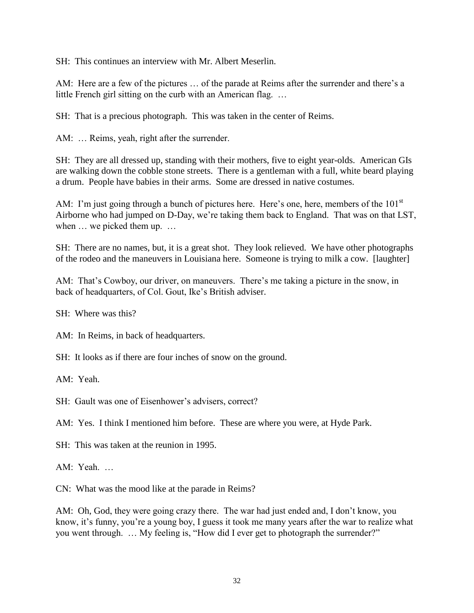SH: This continues an interview with Mr. Albert Meserlin.

AM: Here are a few of the pictures ... of the parade at Reims after the surrender and there's a little French girl sitting on the curb with an American flag. …

SH: That is a precious photograph. This was taken in the center of Reims.

AM: … Reims, yeah, right after the surrender.

SH: They are all dressed up, standing with their mothers, five to eight year-olds. American GIs are walking down the cobble stone streets. There is a gentleman with a full, white beard playing a drum. People have babies in their arms. Some are dressed in native costumes.

AM: I'm just going through a bunch of pictures here. Here's one, here, members of the 101<sup>st</sup> Airborne who had jumped on D-Day, we"re taking them back to England. That was on that LST, when  $\ldots$  we picked them up.  $\ldots$ 

SH: There are no names, but, it is a great shot. They look relieved. We have other photographs of the rodeo and the maneuvers in Louisiana here. Someone is trying to milk a cow. [laughter]

AM: That's Cowboy, our driver, on maneuvers. There's me taking a picture in the snow, in back of headquarters, of Col. Gout, Ike"s British adviser.

SH: Where was this?

AM: In Reims, in back of headquarters.

SH: It looks as if there are four inches of snow on the ground.

AM: Yeah.

SH: Gault was one of Eisenhower's advisers, correct?

AM: Yes. I think I mentioned him before. These are where you were, at Hyde Park.

SH: This was taken at the reunion in 1995.

AM: Yeah. …

CN: What was the mood like at the parade in Reims?

AM: Oh, God, they were going crazy there. The war had just ended and, I don"t know, you know, it's funny, you're a young boy, I guess it took me many years after the war to realize what you went through. … My feeling is, "How did I ever get to photograph the surrender?"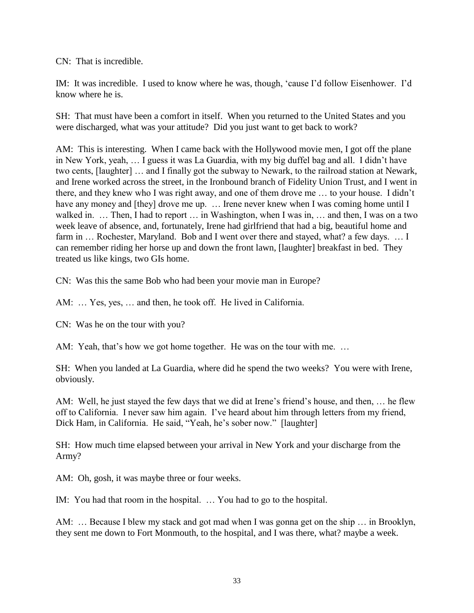CN: That is incredible.

IM: It was incredible. I used to know where he was, though, "cause I"d follow Eisenhower. I"d know where he is.

SH: That must have been a comfort in itself. When you returned to the United States and you were discharged, what was your attitude? Did you just want to get back to work?

AM: This is interesting. When I came back with the Hollywood movie men, I got off the plane in New York, yeah, … I guess it was La Guardia, with my big duffel bag and all. I didn"t have two cents, [laughter] … and I finally got the subway to Newark, to the railroad station at Newark, and Irene worked across the street, in the Ironbound branch of Fidelity Union Trust, and I went in there, and they knew who I was right away, and one of them drove me … to your house. I didn"t have any money and [they] drove me up. ... Irene never knew when I was coming home until I walked in. ... Then, I had to report ... in Washington, when I was in, ... and then, I was on a two week leave of absence, and, fortunately, Irene had girlfriend that had a big, beautiful home and farm in ... Rochester, Maryland. Bob and I went over there and stayed, what? a few days. ... I can remember riding her horse up and down the front lawn, [laughter] breakfast in bed. They treated us like kings, two GIs home.

CN: Was this the same Bob who had been your movie man in Europe?

AM: ... Yes, yes, ... and then, he took off. He lived in California.

CN: Was he on the tour with you?

AM: Yeah, that's how we got home together. He was on the tour with me...

SH: When you landed at La Guardia, where did he spend the two weeks? You were with Irene, obviously.

AM: Well, he just stayed the few days that we did at Irene"s friend"s house, and then, … he flew off to California. I never saw him again. I"ve heard about him through letters from my friend, Dick Ham, in California. He said, "Yeah, he's sober now." [laughter]

SH: How much time elapsed between your arrival in New York and your discharge from the Army?

AM: Oh, gosh, it was maybe three or four weeks.

IM: You had that room in the hospital. … You had to go to the hospital.

AM: … Because I blew my stack and got mad when I was gonna get on the ship … in Brooklyn, they sent me down to Fort Monmouth, to the hospital, and I was there, what? maybe a week.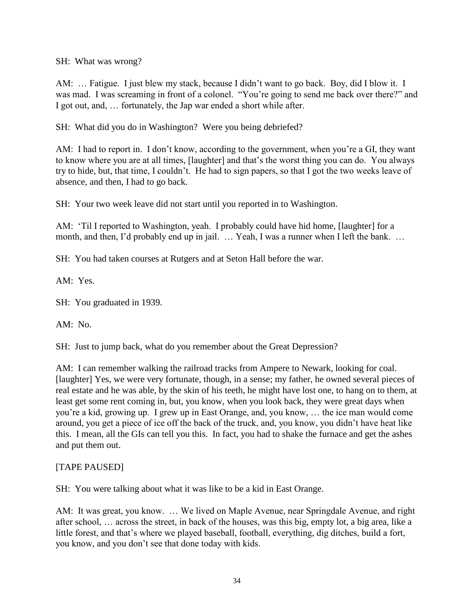SH: What was wrong?

AM: … Fatigue. I just blew my stack, because I didn"t want to go back. Boy, did I blow it. I was mad. I was screaming in front of a colonel. "You"re going to send me back over there?" and I got out, and, … fortunately, the Jap war ended a short while after.

SH: What did you do in Washington? Were you being debriefed?

AM: I had to report in. I don't know, according to the government, when you're a GI, they want to know where you are at all times, [laughter] and that"s the worst thing you can do. You always try to hide, but, that time, I couldn"t. He had to sign papers, so that I got the two weeks leave of absence, and then, I had to go back.

SH: Your two week leave did not start until you reported in to Washington.

AM: "Til I reported to Washington, yeah. I probably could have hid home, [laughter] for a month, and then, I'd probably end up in jail. … Yeah, I was a runner when I left the bank. …

SH: You had taken courses at Rutgers and at Seton Hall before the war.

AM: Yes.

SH: You graduated in 1939.

AM: No.

SH: Just to jump back, what do you remember about the Great Depression?

AM: I can remember walking the railroad tracks from Ampere to Newark, looking for coal. [laughter] Yes, we were very fortunate, though, in a sense; my father, he owned several pieces of real estate and he was able, by the skin of his teeth, he might have lost one, to hang on to them, at least get some rent coming in, but, you know, when you look back, they were great days when you"re a kid, growing up. I grew up in East Orange, and, you know, … the ice man would come around, you get a piece of ice off the back of the truck, and, you know, you didn"t have heat like this. I mean, all the GIs can tell you this. In fact, you had to shake the furnace and get the ashes and put them out.

## [TAPE PAUSED]

SH: You were talking about what it was like to be a kid in East Orange.

AM: It was great, you know. … We lived on Maple Avenue, near Springdale Avenue, and right after school, … across the street, in back of the houses, was this big, empty lot, a big area, like a little forest, and that's where we played baseball, football, everything, dig ditches, build a fort, you know, and you don"t see that done today with kids.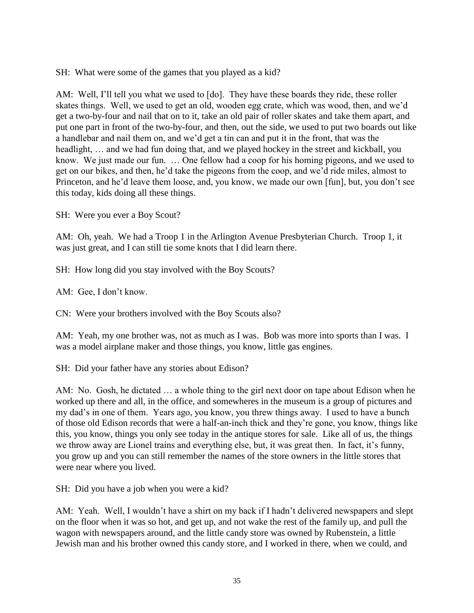SH: What were some of the games that you played as a kid?

AM: Well, I'll tell you what we used to [do]. They have these boards they ride, these roller skates things. Well, we used to get an old, wooden egg crate, which was wood, then, and we"d get a two-by-four and nail that on to it, take an old pair of roller skates and take them apart, and put one part in front of the two-by-four, and then, out the side, we used to put two boards out like a handlebar and nail them on, and we"d get a tin can and put it in the front, that was the headlight, … and we had fun doing that, and we played hockey in the street and kickball, you know. We just made our fun. … One fellow had a coop for his homing pigeons, and we used to get on our bikes, and then, he"d take the pigeons from the coop, and we"d ride miles, almost to Princeton, and he'd leave them loose, and, you know, we made our own [fun], but, you don't see this today, kids doing all these things.

SH: Were you ever a Boy Scout?

AM: Oh, yeah. We had a Troop 1 in the Arlington Avenue Presbyterian Church. Troop 1, it was just great, and I can still tie some knots that I did learn there.

SH: How long did you stay involved with the Boy Scouts?

AM: Gee, I don"t know.

CN: Were your brothers involved with the Boy Scouts also?

AM: Yeah, my one brother was, not as much as I was. Bob was more into sports than I was. I was a model airplane maker and those things, you know, little gas engines.

SH: Did your father have any stories about Edison?

AM: No. Gosh, he dictated … a whole thing to the girl next door on tape about Edison when he worked up there and all, in the office, and somewheres in the museum is a group of pictures and my dad"s in one of them. Years ago, you know, you threw things away. I used to have a bunch of those old Edison records that were a half-an-inch thick and they"re gone, you know, things like this, you know, things you only see today in the antique stores for sale. Like all of us, the things we throw away are Lionel trains and everything else, but, it was great then. In fact, it's funny, you grow up and you can still remember the names of the store owners in the little stores that were near where you lived.

SH: Did you have a job when you were a kid?

AM: Yeah. Well, I wouldn't have a shirt on my back if I hadn't delivered newspapers and slept on the floor when it was so hot, and get up, and not wake the rest of the family up, and pull the wagon with newspapers around, and the little candy store was owned by Rubenstein, a little Jewish man and his brother owned this candy store, and I worked in there, when we could, and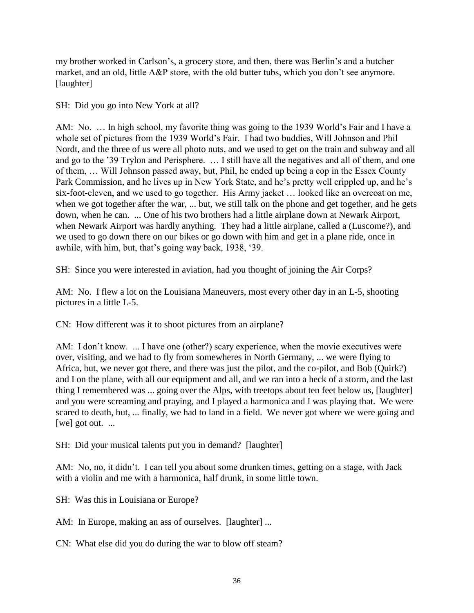my brother worked in Carlson"s, a grocery store, and then, there was Berlin"s and a butcher market, and an old, little A&P store, with the old butter tubs, which you don"t see anymore. [laughter]

SH: Did you go into New York at all?

AM: No. … In high school, my favorite thing was going to the 1939 World"s Fair and I have a whole set of pictures from the 1939 World"s Fair. I had two buddies, Will Johnson and Phil Nordt, and the three of us were all photo nuts, and we used to get on the train and subway and all and go to the "39 Trylon and Perisphere. … I still have all the negatives and all of them, and one of them, … Will Johnson passed away, but, Phil, he ended up being a cop in the Essex County Park Commission, and he lives up in New York State, and he's pretty well crippled up, and he's six-foot-eleven, and we used to go together. His Army jacket … looked like an overcoat on me, when we got together after the war, ... but, we still talk on the phone and get together, and he gets down, when he can. ... One of his two brothers had a little airplane down at Newark Airport, when Newark Airport was hardly anything. They had a little airplane, called a (Luscome?), and we used to go down there on our bikes or go down with him and get in a plane ride, once in awhile, with him, but, that"s going way back, 1938, "39.

SH: Since you were interested in aviation, had you thought of joining the Air Corps?

AM: No. I flew a lot on the Louisiana Maneuvers, most every other day in an L-5, shooting pictures in a little L-5.

CN: How different was it to shoot pictures from an airplane?

AM: I don't know. ... I have one (other?) scary experience, when the movie executives were over, visiting, and we had to fly from somewheres in North Germany, ... we were flying to Africa, but, we never got there, and there was just the pilot, and the co-pilot, and Bob (Quirk?) and I on the plane, with all our equipment and all, and we ran into a heck of a storm, and the last thing I remembered was ... going over the Alps, with treetops about ten feet below us, [laughter] and you were screaming and praying, and I played a harmonica and I was playing that. We were scared to death, but, ... finally, we had to land in a field. We never got where we were going and [we] got out. ...

SH: Did your musical talents put you in demand? [laughter]

AM: No, no, it didn't. I can tell you about some drunken times, getting on a stage, with Jack with a violin and me with a harmonica, half drunk, in some little town.

SH: Was this in Louisiana or Europe?

AM: In Europe, making an ass of ourselves. [laughter] ...

CN: What else did you do during the war to blow off steam?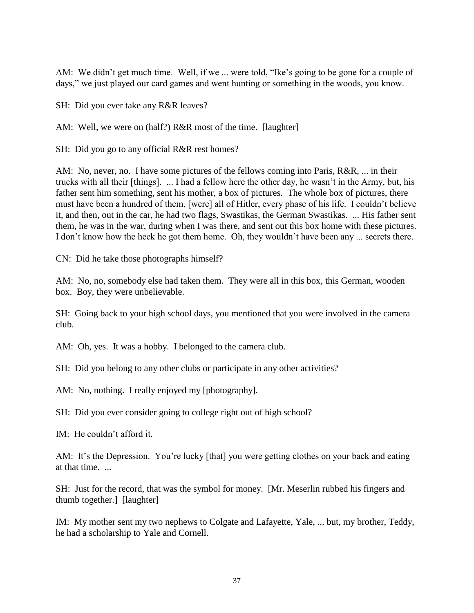AM: We didn't get much time. Well, if we ... were told, "Ike's going to be gone for a couple of days," we just played our card games and went hunting or something in the woods, you know.

SH: Did you ever take any R&R leaves?

AM: Well, we were on (half?) R&R most of the time. [laughter]

SH: Did you go to any official R&R rest homes?

AM: No, never, no. I have some pictures of the fellows coming into Paris, R&R, ... in their trucks with all their [things]. ... I had a fellow here the other day, he wasn"t in the Army, but, his father sent him something, sent his mother, a box of pictures. The whole box of pictures, there must have been a hundred of them, [were] all of Hitler, every phase of his life. I couldn"t believe it, and then, out in the car, he had two flags, Swastikas, the German Swastikas. ... His father sent them, he was in the war, during when I was there, and sent out this box home with these pictures. I don't know how the heck he got them home. Oh, they wouldn't have been any ... secrets there.

CN: Did he take those photographs himself?

AM: No, no, somebody else had taken them. They were all in this box, this German, wooden box. Boy, they were unbelievable.

SH: Going back to your high school days, you mentioned that you were involved in the camera club.

AM: Oh, yes. It was a hobby. I belonged to the camera club.

SH: Did you belong to any other clubs or participate in any other activities?

AM: No, nothing. I really enjoyed my [photography].

SH: Did you ever consider going to college right out of high school?

IM: He couldn"t afford it.

AM: It's the Depression. You're lucky [that] you were getting clothes on your back and eating at that time. ...

SH: Just for the record, that was the symbol for money. [Mr. Meserlin rubbed his fingers and thumb together.] [laughter]

IM: My mother sent my two nephews to Colgate and Lafayette, Yale, ... but, my brother, Teddy, he had a scholarship to Yale and Cornell.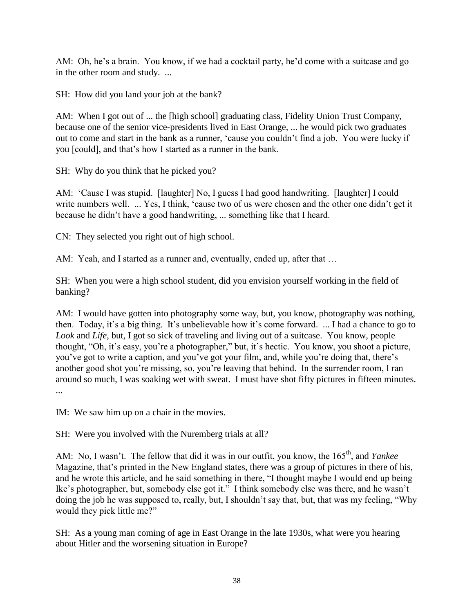AM: Oh, he's a brain. You know, if we had a cocktail party, he'd come with a suitcase and go in the other room and study. ...

SH: How did you land your job at the bank?

AM: When I got out of ... the [high school] graduating class, Fidelity Union Trust Company, because one of the senior vice-presidents lived in East Orange, ... he would pick two graduates out to come and start in the bank as a runner, "cause you couldn"t find a job. You were lucky if you [could], and that"s how I started as a runner in the bank.

SH: Why do you think that he picked you?

AM: "Cause I was stupid. [laughter] No, I guess I had good handwriting. [laughter] I could write numbers well. ... Yes, I think, 'cause two of us were chosen and the other one didn't get it because he didn"t have a good handwriting, ... something like that I heard.

CN: They selected you right out of high school.

AM: Yeah, and I started as a runner and, eventually, ended up, after that ...

SH: When you were a high school student, did you envision yourself working in the field of banking?

AM: I would have gotten into photography some way, but, you know, photography was nothing, then. Today, it's a big thing. It's unbelievable how it's come forward. ... I had a chance to go to *Look* and *Life*, but, I got so sick of traveling and living out of a suitcase. You know, people thought, "Oh, it's easy, you're a photographer," but, it's hectic. You know, you shoot a picture, you've got to write a caption, and you've got your film, and, while you're doing that, there's another good shot you"re missing, so, you"re leaving that behind. In the surrender room, I ran around so much, I was soaking wet with sweat. I must have shot fifty pictures in fifteen minutes. ...

IM: We saw him up on a chair in the movies.

SH: Were you involved with the Nuremberg trials at all?

AM: No, I wasn't. The fellow that did it was in our outfit, you know, the 165<sup>th</sup>, and *Yankee* Magazine, that's printed in the New England states, there was a group of pictures in there of his, and he wrote this article, and he said something in there, "I thought maybe I would end up being Ike"s photographer, but, somebody else got it." I think somebody else was there, and he wasn"t doing the job he was supposed to, really, but, I shouldn"t say that, but, that was my feeling, "Why would they pick little me?"

SH: As a young man coming of age in East Orange in the late 1930s, what were you hearing about Hitler and the worsening situation in Europe?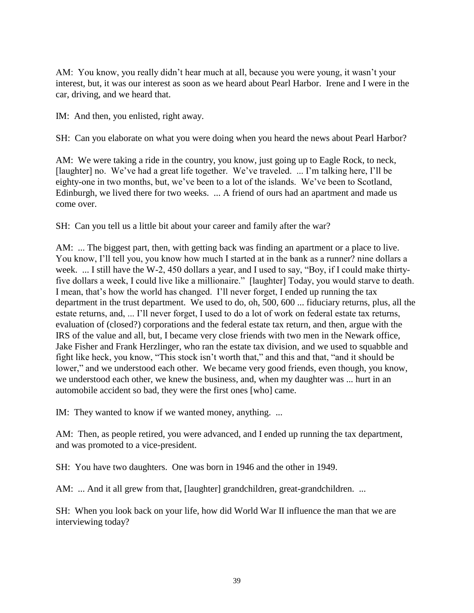AM: You know, you really didn't hear much at all, because you were young, it wasn't your interest, but, it was our interest as soon as we heard about Pearl Harbor. Irene and I were in the car, driving, and we heard that.

IM: And then, you enlisted, right away.

SH: Can you elaborate on what you were doing when you heard the news about Pearl Harbor?

AM: We were taking a ride in the country, you know, just going up to Eagle Rock, to neck, [laughter] no. We've had a great life together. We've traveled. ... I'm talking here, I'll be eighty-one in two months, but, we've been to a lot of the islands. We've been to Scotland, Edinburgh, we lived there for two weeks. ... A friend of ours had an apartment and made us come over.

SH: Can you tell us a little bit about your career and family after the war?

AM: ... The biggest part, then, with getting back was finding an apartment or a place to live. You know, I"ll tell you, you know how much I started at in the bank as a runner? nine dollars a week. ... I still have the W-2, 450 dollars a year, and I used to say, "Boy, if I could make thirtyfive dollars a week, I could live like a millionaire." [laughter] Today, you would starve to death. I mean, that"s how the world has changed. I"ll never forget, I ended up running the tax department in the trust department. We used to do, oh, 500, 600 ... fiduciary returns, plus, all the estate returns, and, ... I"ll never forget, I used to do a lot of work on federal estate tax returns, evaluation of (closed?) corporations and the federal estate tax return, and then, argue with the IRS of the value and all, but, I became very close friends with two men in the Newark office, Jake Fisher and Frank Herzlinger, who ran the estate tax division, and we used to squabble and fight like heck, you know, "This stock isn"t worth that," and this and that, "and it should be lower," and we understood each other. We became very good friends, even though, you know, we understood each other, we knew the business, and, when my daughter was ... hurt in an automobile accident so bad, they were the first ones [who] came.

IM: They wanted to know if we wanted money, anything. ...

AM: Then, as people retired, you were advanced, and I ended up running the tax department, and was promoted to a vice-president.

SH: You have two daughters. One was born in 1946 and the other in 1949.

AM: ... And it all grew from that, [laughter] grandchildren, great-grandchildren. ...

SH: When you look back on your life, how did World War II influence the man that we are interviewing today?